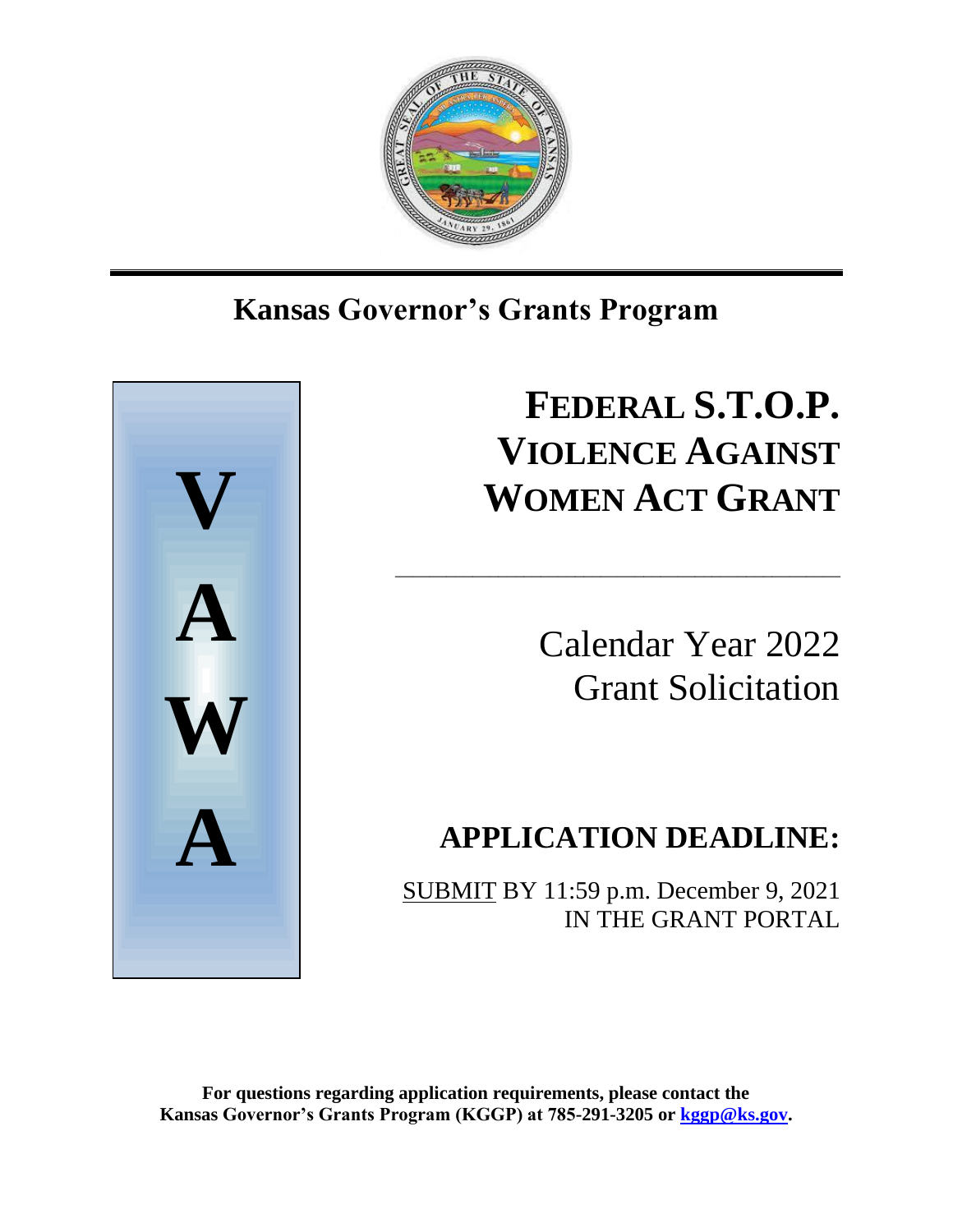

## Ι **Kansas Governor's Grants Program**



# **FEDERAL S.T.O.P. VIOLENCE AGAINST WOMEN ACT GRANT**

\_\_\_\_\_\_\_\_\_\_\_\_\_\_\_\_\_\_\_\_\_\_\_\_\_\_\_\_\_\_\_\_\_\_\_\_\_\_\_\_\_\_\_\_\_\_\_\_\_\_\_\_

Calendar Year 2022 Grant Solicitation

## **APPLICATION DEADLINE:**

SUBMIT BY 11:59 p.m. December 9, 2021 IN THE GRANT PORTAL

**For questions regarding application requirements, please contact the Kansas Governor's Grants Program (KGGP) at 785-291-3205 or [kggp@ks.gov.](mailto:kggp@ks.gov)**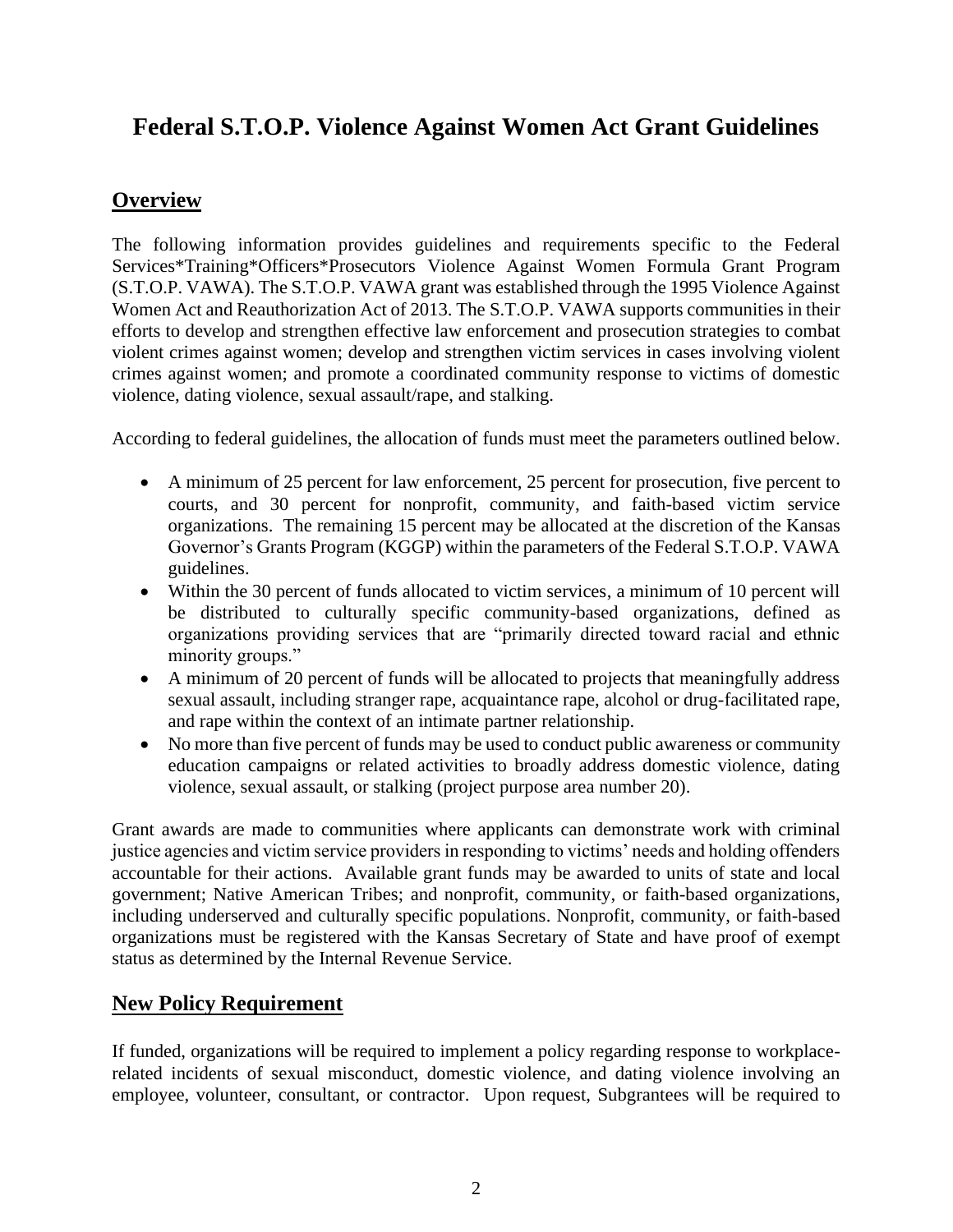## **Federal S.T.O.P. Violence Against Women Act Grant Guidelines**

## **Overview**

The following information provides guidelines and requirements specific to the Federal Services\*Training\*Officers\*Prosecutors Violence Against Women Formula Grant Program (S.T.O.P. VAWA). The S.T.O.P. VAWA grant was established through the 1995 Violence Against Women Act and Reauthorization Act of 2013. The S.T.O.P. VAWA supports communities in their efforts to develop and strengthen effective law enforcement and prosecution strategies to combat violent crimes against women; develop and strengthen victim services in cases involving violent crimes against women; and promote a coordinated community response to victims of domestic violence, dating violence, sexual assault/rape, and stalking.

According to federal guidelines, the allocation of funds must meet the parameters outlined below.

- A minimum of 25 percent for law enforcement, 25 percent for prosecution, five percent to courts, and 30 percent for nonprofit, community, and faith-based victim service organizations. The remaining 15 percent may be allocated at the discretion of the Kansas Governor's Grants Program (KGGP) within the parameters of the Federal S.T.O.P. VAWA guidelines.
- Within the 30 percent of funds allocated to victim services, a minimum of 10 percent will be distributed to culturally specific community-based organizations, defined as organizations providing services that are "primarily directed toward racial and ethnic minority groups."
- A minimum of 20 percent of funds will be allocated to projects that meaningfully address sexual assault, including stranger rape, acquaintance rape, alcohol or drug-facilitated rape, and rape within the context of an intimate partner relationship.
- No more than five percent of funds may be used to conduct public awareness or community education campaigns or related activities to broadly address domestic violence, dating violence, sexual assault, or stalking (project purpose area number 20).

Grant awards are made to communities where applicants can demonstrate work with criminal justice agencies and victim service providers in responding to victims' needs and holding offenders accountable for their actions. Available grant funds may be awarded to units of state and local government; Native American Tribes; and nonprofit, community, or faith-based organizations, including underserved and culturally specific populations. Nonprofit, community, or faith-based organizations must be registered with the Kansas Secretary of State and have proof of exempt status as determined by the Internal Revenue Service.

## **New Policy Requirement**

If funded, organizations will be required to implement a policy regarding response to workplacerelated incidents of sexual misconduct, domestic violence, and dating violence involving an employee, volunteer, consultant, or contractor. Upon request, Subgrantees will be required to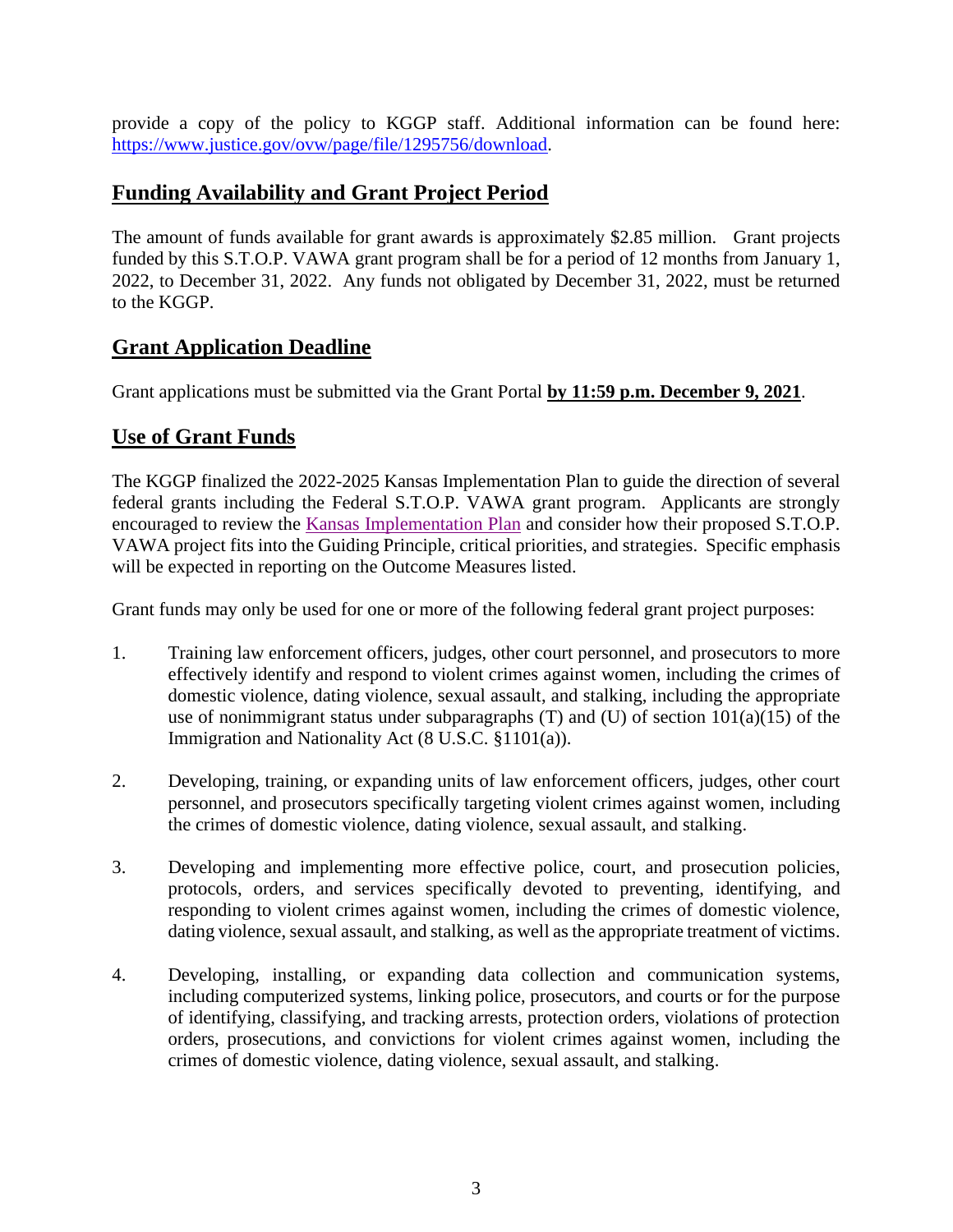provide a copy of the policy to KGGP staff. Additional information can be found here: [https://www.justice.gov/ovw/page/file/1295756/download.](https://www.justice.gov/ovw/page/file/1295756/download)

## **Funding Availability and Grant Project Period**

The amount of funds available for grant awards is approximately \$2.85 million. Grant projects funded by this S.T.O.P. VAWA grant program shall be for a period of 12 months from January 1, 2022, to December 31, 2022. Any funds not obligated by December 31, 2022, must be returned to the KGGP.

## **Grant Application Deadline**

Grant applications must be submitted via the Grant Portal **by 11:59 p.m. December 9, 2021**.

## **Use of Grant Funds**

The KGGP finalized the 2022-2025 Kansas Implementation Plan to guide the direction of several federal grants including the Federal S.T.O.P. VAWA grant program. Applicants are strongly encouraged to review the [Kansas Implementation Plan](https://grants.ks.gov/docs/librariesprovider22/grant-reports/kansas-implementation-plan-2022-2025.pdf?sfvrsn=ec529846_7) and consider how their proposed S.T.O.P. VAWA project fits into the Guiding Principle, critical priorities, and strategies. Specific emphasis will be expected in reporting on the Outcome Measures listed.

Grant funds may only be used for one or more of the following federal grant project purposes:

- 1. Training law enforcement officers, judges, other court personnel, and prosecutors to more effectively identify and respond to violent crimes against women, including the crimes of domestic violence, dating violence, sexual assault, and stalking, including the appropriate use of nonimmigrant status under subparagraphs  $(T)$  and  $(U)$  of section  $101(a)(15)$  of the Immigration and Nationality Act (8 U.S.C. §1101(a)).
- 2. Developing, training, or expanding units of law enforcement officers, judges, other court personnel, and prosecutors specifically targeting violent crimes against women, including the crimes of domestic violence, dating violence, sexual assault, and stalking.
- 3. Developing and implementing more effective police, court, and prosecution policies, protocols, orders, and services specifically devoted to preventing, identifying, and responding to violent crimes against women, including the crimes of domestic violence, dating violence, sexual assault, and stalking, as well as the appropriate treatment of victims.
- 4. Developing, installing, or expanding data collection and communication systems, including computerized systems, linking police, prosecutors, and courts or for the purpose of identifying, classifying, and tracking arrests, protection orders, violations of protection orders, prosecutions, and convictions for violent crimes against women, including the crimes of domestic violence, dating violence, sexual assault, and stalking.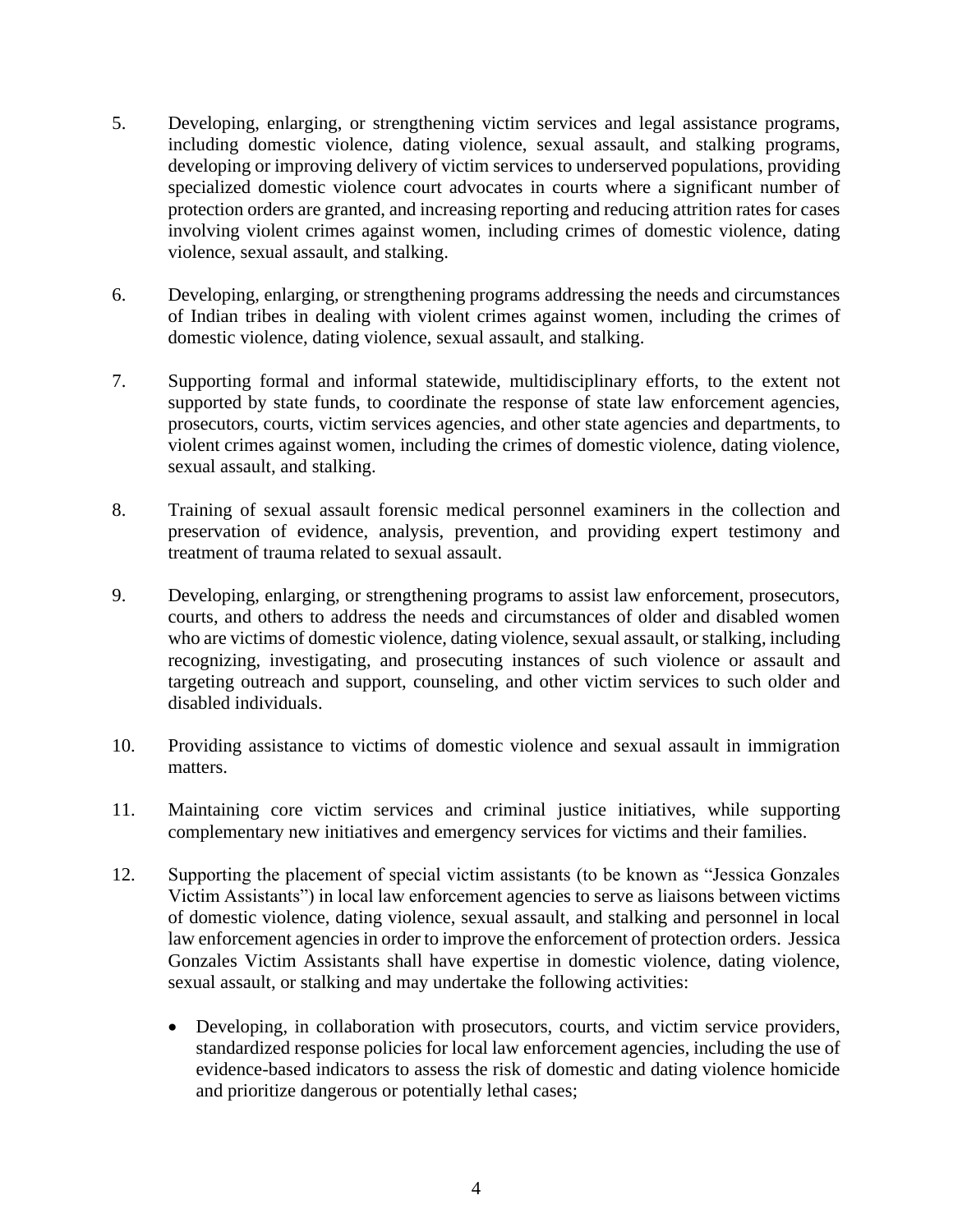- 5. Developing, enlarging, or strengthening victim services and legal assistance programs, including domestic violence, dating violence, sexual assault, and stalking programs, developing or improving delivery of victim services to underserved populations, providing specialized domestic violence court advocates in courts where a significant number of protection orders are granted, and increasing reporting and reducing attrition rates for cases involving violent crimes against women, including crimes of domestic violence, dating violence, sexual assault, and stalking.
- 6. Developing, enlarging, or strengthening programs addressing the needs and circumstances of Indian tribes in dealing with violent crimes against women, including the crimes of domestic violence, dating violence, sexual assault, and stalking.
- 7. Supporting formal and informal statewide, multidisciplinary efforts, to the extent not supported by state funds, to coordinate the response of state law enforcement agencies, prosecutors, courts, victim services agencies, and other state agencies and departments, to violent crimes against women, including the crimes of domestic violence, dating violence, sexual assault, and stalking.
- 8. Training of sexual assault forensic medical personnel examiners in the collection and preservation of evidence, analysis, prevention, and providing expert testimony and treatment of trauma related to sexual assault.
- 9. Developing, enlarging, or strengthening programs to assist law enforcement, prosecutors, courts, and others to address the needs and circumstances of older and disabled women who are victims of domestic violence, dating violence, sexual assault, or stalking, including recognizing, investigating, and prosecuting instances of such violence or assault and targeting outreach and support, counseling, and other victim services to such older and disabled individuals.
- 10. Providing assistance to victims of domestic violence and sexual assault in immigration matters.
- 11. Maintaining core victim services and criminal justice initiatives, while supporting complementary new initiatives and emergency services for victims and their families.
- 12. Supporting the placement of special victim assistants (to be known as "Jessica Gonzales Victim Assistants") in local law enforcement agencies to serve as liaisons between victims of domestic violence, dating violence, sexual assault, and stalking and personnel in local law enforcement agencies in order to improve the enforcement of protection orders. Jessica Gonzales Victim Assistants shall have expertise in domestic violence, dating violence, sexual assault, or stalking and may undertake the following activities:
	- Developing, in collaboration with prosecutors, courts, and victim service providers, standardized response policies for local law enforcement agencies, including the use of evidence-based indicators to assess the risk of domestic and dating violence homicide and prioritize dangerous or potentially lethal cases;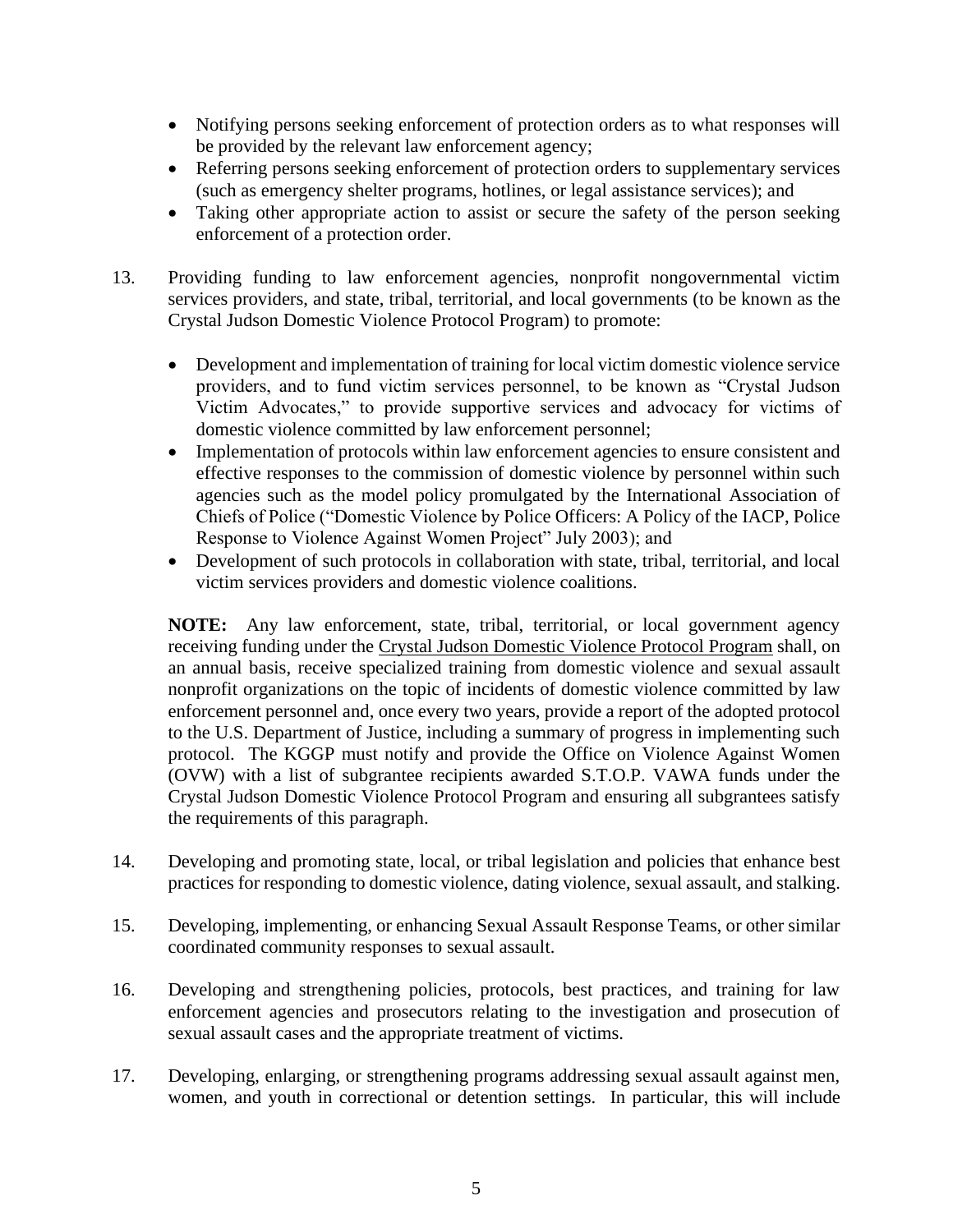- Notifying persons seeking enforcement of protection orders as to what responses will be provided by the relevant law enforcement agency;
- Referring persons seeking enforcement of protection orders to supplementary services (such as emergency shelter programs, hotlines, or legal assistance services); and
- Taking other appropriate action to assist or secure the safety of the person seeking enforcement of a protection order.
- 13. Providing funding to law enforcement agencies, nonprofit nongovernmental victim services providers, and state, tribal, territorial, and local governments (to be known as the Crystal Judson Domestic Violence Protocol Program) to promote:
	- Development and implementation of training for local victim domestic violence service providers, and to fund victim services personnel, to be known as "Crystal Judson Victim Advocates," to provide supportive services and advocacy for victims of domestic violence committed by law enforcement personnel;
	- Implementation of protocols within law enforcement agencies to ensure consistent and effective responses to the commission of domestic violence by personnel within such agencies such as the model policy promulgated by the International Association of Chiefs of Police ("Domestic Violence by Police Officers: A Policy of the IACP, Police Response to Violence Against Women Project" July 2003); and
	- Development of such protocols in collaboration with state, tribal, territorial, and local victim services providers and domestic violence coalitions.

**NOTE:** Any law enforcement, state, tribal, territorial, or local government agency receiving funding under the Crystal Judson Domestic Violence Protocol Program shall, on an annual basis, receive specialized training from domestic violence and sexual assault nonprofit organizations on the topic of incidents of domestic violence committed by law enforcement personnel and, once every two years, provide a report of the adopted protocol to the U.S. Department of Justice, including a summary of progress in implementing such protocol. The KGGP must notify and provide the Office on Violence Against Women (OVW) with a list of subgrantee recipients awarded S.T.O.P. VAWA funds under the Crystal Judson Domestic Violence Protocol Program and ensuring all subgrantees satisfy the requirements of this paragraph.

- 14. Developing and promoting state, local, or tribal legislation and policies that enhance best practices for responding to domestic violence, dating violence, sexual assault, and stalking.
- 15. Developing, implementing, or enhancing Sexual Assault Response Teams, or other similar coordinated community responses to sexual assault.
- 16. Developing and strengthening policies, protocols, best practices, and training for law enforcement agencies and prosecutors relating to the investigation and prosecution of sexual assault cases and the appropriate treatment of victims.
- 17. Developing, enlarging, or strengthening programs addressing sexual assault against men, women, and youth in correctional or detention settings. In particular, this will include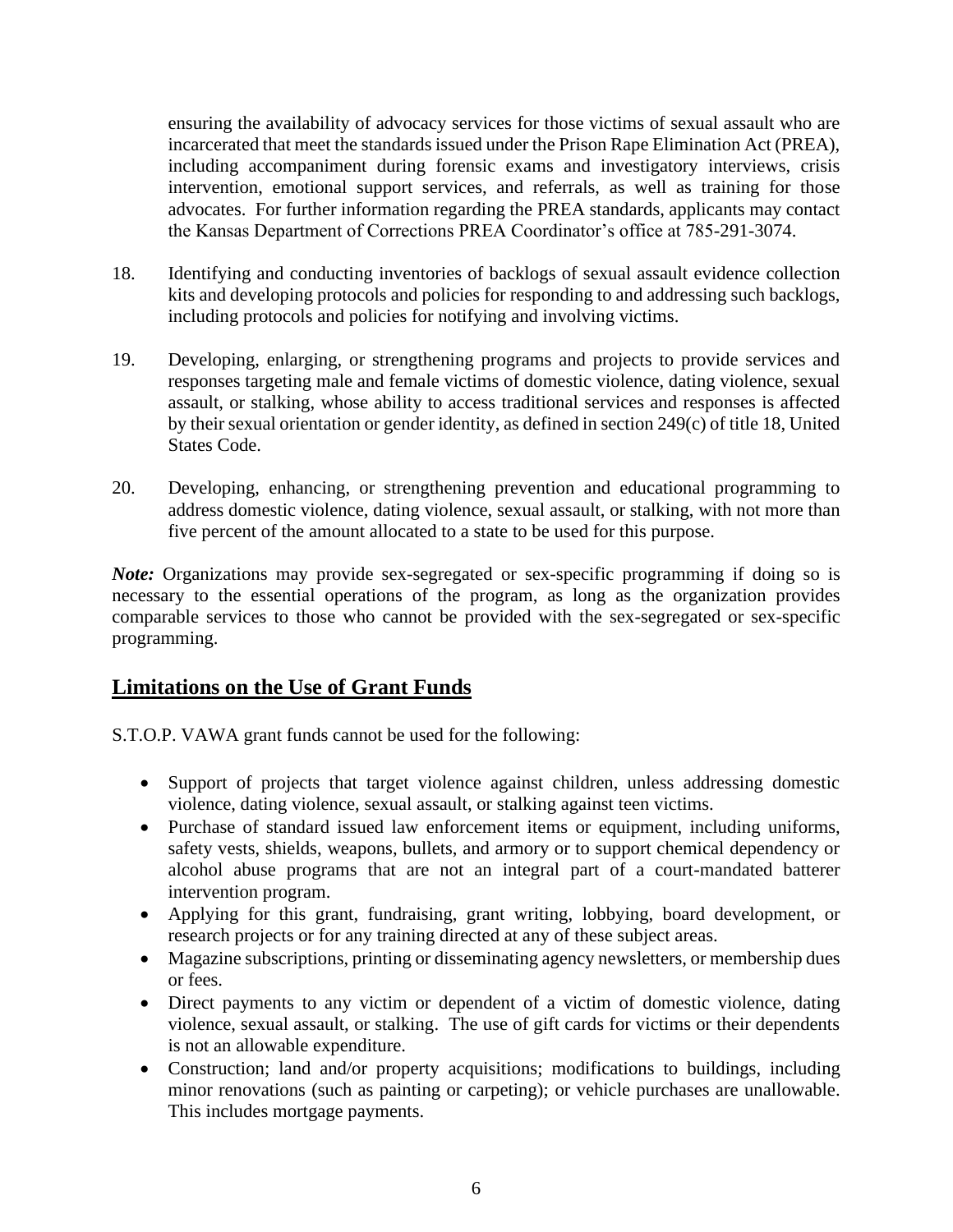ensuring the availability of advocacy services for those victims of sexual assault who are incarcerated that meet the standards issued under the Prison Rape Elimination Act (PREA), including accompaniment during forensic exams and investigatory interviews, crisis intervention, emotional support services, and referrals, as well as training for those advocates. For further information regarding the PREA standards, applicants may contact the Kansas Department of Corrections PREA Coordinator's office at 785-291-3074.

- 18. Identifying and conducting inventories of backlogs of sexual assault evidence collection kits and developing protocols and policies for responding to and addressing such backlogs, including protocols and policies for notifying and involving victims.
- 19. Developing, enlarging, or strengthening programs and projects to provide services and responses targeting male and female victims of domestic violence, dating violence, sexual assault, or stalking, whose ability to access traditional services and responses is affected by their sexual orientation or gender identity, as defined in section 249(c) of title 18, United States Code.
- 20. Developing, enhancing, or strengthening prevention and educational programming to address domestic violence, dating violence, sexual assault, or stalking, with not more than five percent of the amount allocated to a state to be used for this purpose.

*Note*: Organizations may provide sex-segregated or sex-specific programming if doing so is necessary to the essential operations of the program, as long as the organization provides comparable services to those who cannot be provided with the sex-segregated or sex-specific programming.

## **Limitations on the Use of Grant Funds**

S.T.O.P. VAWA grant funds cannot be used for the following:

- Support of projects that target violence against children, unless addressing domestic violence, dating violence, sexual assault, or stalking against teen victims.
- Purchase of standard issued law enforcement items or equipment, including uniforms, safety vests, shields, weapons, bullets, and armory or to support chemical dependency or alcohol abuse programs that are not an integral part of a court-mandated batterer intervention program.
- Applying for this grant, fundraising, grant writing, lobbying, board development, or research projects or for any training directed at any of these subject areas.
- Magazine subscriptions, printing or disseminating agency newsletters, or membership dues or fees.
- Direct payments to any victim or dependent of a victim of domestic violence, dating violence, sexual assault, or stalking. The use of gift cards for victims or their dependents is not an allowable expenditure.
- Construction; land and/or property acquisitions; modifications to buildings, including minor renovations (such as painting or carpeting); or vehicle purchases are unallowable. This includes mortgage payments.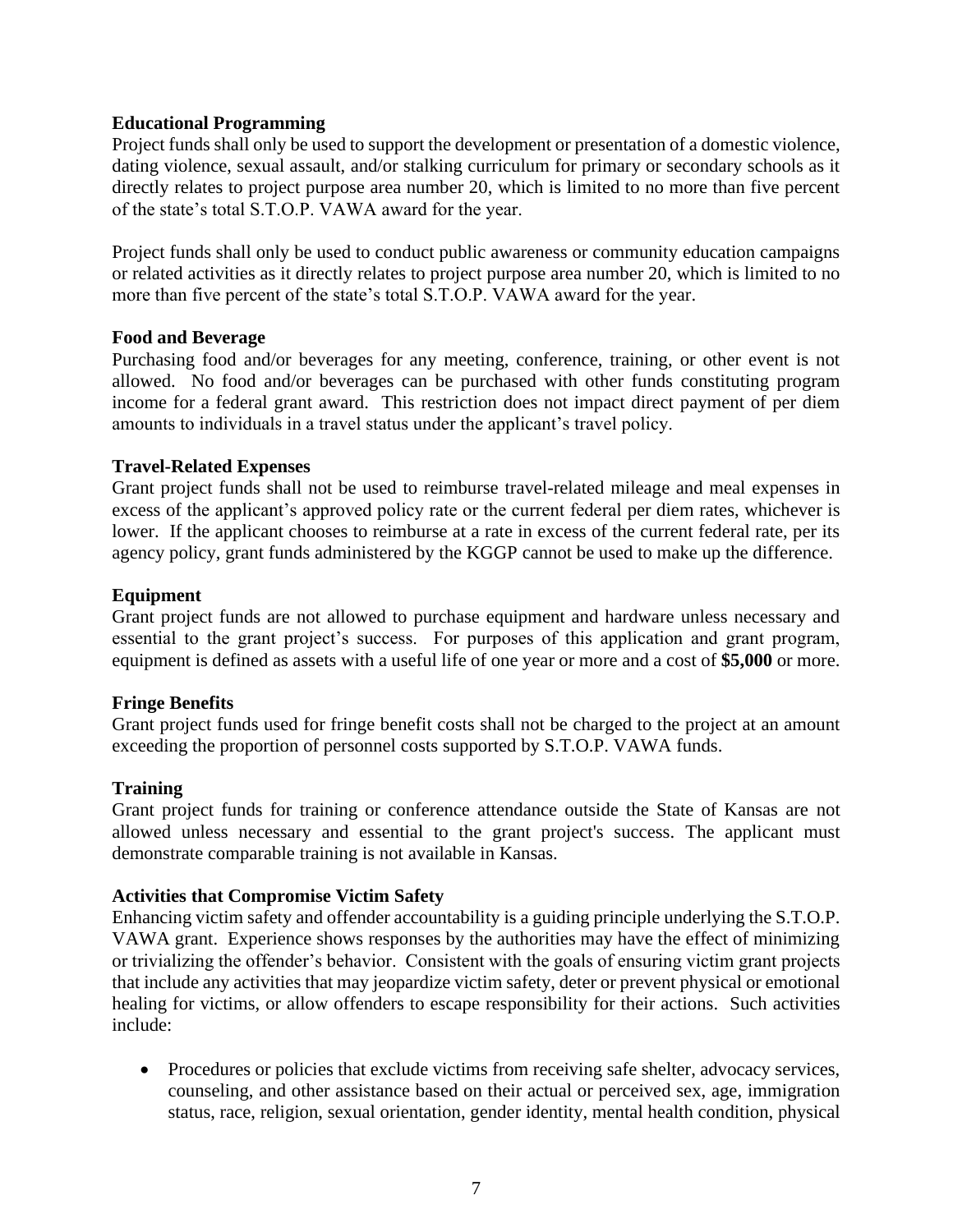#### **Educational Programming**

Project funds shall only be used to support the development or presentation of a domestic violence, dating violence, sexual assault, and/or stalking curriculum for primary or secondary schools as it directly relates to project purpose area number 20, which is limited to no more than five percent of the state's total S.T.O.P. VAWA award for the year.

Project funds shall only be used to conduct public awareness or community education campaigns or related activities as it directly relates to project purpose area number 20, which is limited to no more than five percent of the state's total S.T.O.P. VAWA award for the year.

#### **Food and Beverage**

Purchasing food and/or beverages for any meeting, conference, training, or other event is not allowed. No food and/or beverages can be purchased with other funds constituting program income for a federal grant award. This restriction does not impact direct payment of per diem amounts to individuals in a travel status under the applicant's travel policy.

#### **Travel-Related Expenses**

Grant project funds shall not be used to reimburse travel-related mileage and meal expenses in excess of the applicant's approved policy rate or the current federal per diem rates, whichever is lower. If the applicant chooses to reimburse at a rate in excess of the current federal rate, per its agency policy, grant funds administered by the KGGP cannot be used to make up the difference.

#### **Equipment**

Grant project funds are not allowed to purchase equipment and hardware unless necessary and essential to the grant project's success. For purposes of this application and grant program, equipment is defined as assets with a useful life of one year or more and a cost of **\$5,000** or more.

#### **Fringe Benefits**

Grant project funds used for fringe benefit costs shall not be charged to the project at an amount exceeding the proportion of personnel costs supported by S.T.O.P. VAWA funds.

#### **Training**

Grant project funds for training or conference attendance outside the State of Kansas are not allowed unless necessary and essential to the grant project's success. The applicant must demonstrate comparable training is not available in Kansas.

#### **Activities that Compromise Victim Safety**

Enhancing victim safety and offender accountability is a guiding principle underlying the S.T.O.P. VAWA grant. Experience shows responses by the authorities may have the effect of minimizing or trivializing the offender's behavior. Consistent with the goals of ensuring victim grant projects that include any activities that may jeopardize victim safety, deter or prevent physical or emotional healing for victims, or allow offenders to escape responsibility for their actions. Such activities include:

• Procedures or policies that exclude victims from receiving safe shelter, advocacy services, counseling, and other assistance based on their actual or perceived sex, age, immigration status, race, religion, sexual orientation, gender identity, mental health condition, physical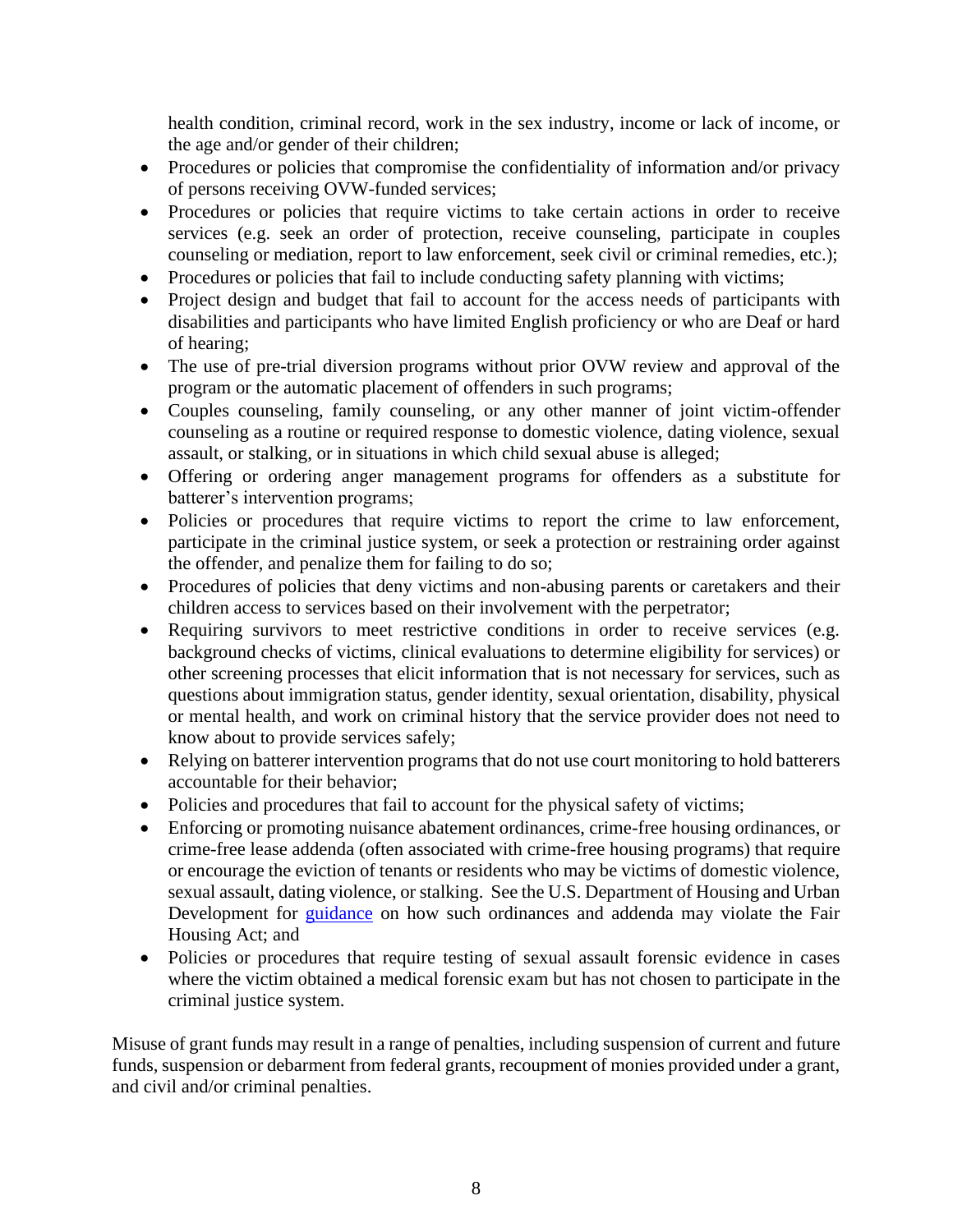health condition, criminal record, work in the sex industry, income or lack of income, or the age and/or gender of their children;

- Procedures or policies that compromise the confidentiality of information and/or privacy of persons receiving OVW-funded services;
- Procedures or policies that require victims to take certain actions in order to receive services (e.g. seek an order of protection, receive counseling, participate in couples counseling or mediation, report to law enforcement, seek civil or criminal remedies, etc.);
- Procedures or policies that fail to include conducting safety planning with victims;
- Project design and budget that fail to account for the access needs of participants with disabilities and participants who have limited English proficiency or who are Deaf or hard of hearing;
- The use of pre-trial diversion programs without prior OVW review and approval of the program or the automatic placement of offenders in such programs;
- Couples counseling, family counseling, or any other manner of joint victim-offender counseling as a routine or required response to domestic violence, dating violence, sexual assault, or stalking, or in situations in which child sexual abuse is alleged;
- Offering or ordering anger management programs for offenders as a substitute for batterer's intervention programs;
- Policies or procedures that require victims to report the crime to law enforcement, participate in the criminal justice system, or seek a protection or restraining order against the offender, and penalize them for failing to do so;
- Procedures of policies that deny victims and non-abusing parents or caretakers and their children access to services based on their involvement with the perpetrator;
- Requiring survivors to meet restrictive conditions in order to receive services (e.g. background checks of victims, clinical evaluations to determine eligibility for services) or other screening processes that elicit information that is not necessary for services, such as questions about immigration status, gender identity, sexual orientation, disability, physical or mental health, and work on criminal history that the service provider does not need to know about to provide services safely;
- Relying on batterer intervention programs that do not use court monitoring to hold batterers accountable for their behavior;
- Policies and procedures that fail to account for the physical safety of victims;
- Enforcing or promoting nuisance abatement ordinances, crime-free housing ordinances, or crime-free lease addenda (often associated with crime-free housing programs) that require or encourage the eviction of tenants or residents who may be victims of domestic violence, sexual assault, dating violence, or stalking. See the U.S. Department of Housing and Urban Development for [guidance](https://www.hud.gov/sites/documents/FINALNUISANCEORDGDNCE.PDF) on how such ordinances and addenda may violate the Fair Housing Act; and
- Policies or procedures that require testing of sexual assault forensic evidence in cases where the victim obtained a medical forensic exam but has not chosen to participate in the criminal justice system.

Misuse of grant funds may result in a range of penalties, including suspension of current and future funds, suspension or debarment from federal grants, recoupment of monies provided under a grant, and civil and/or criminal penalties.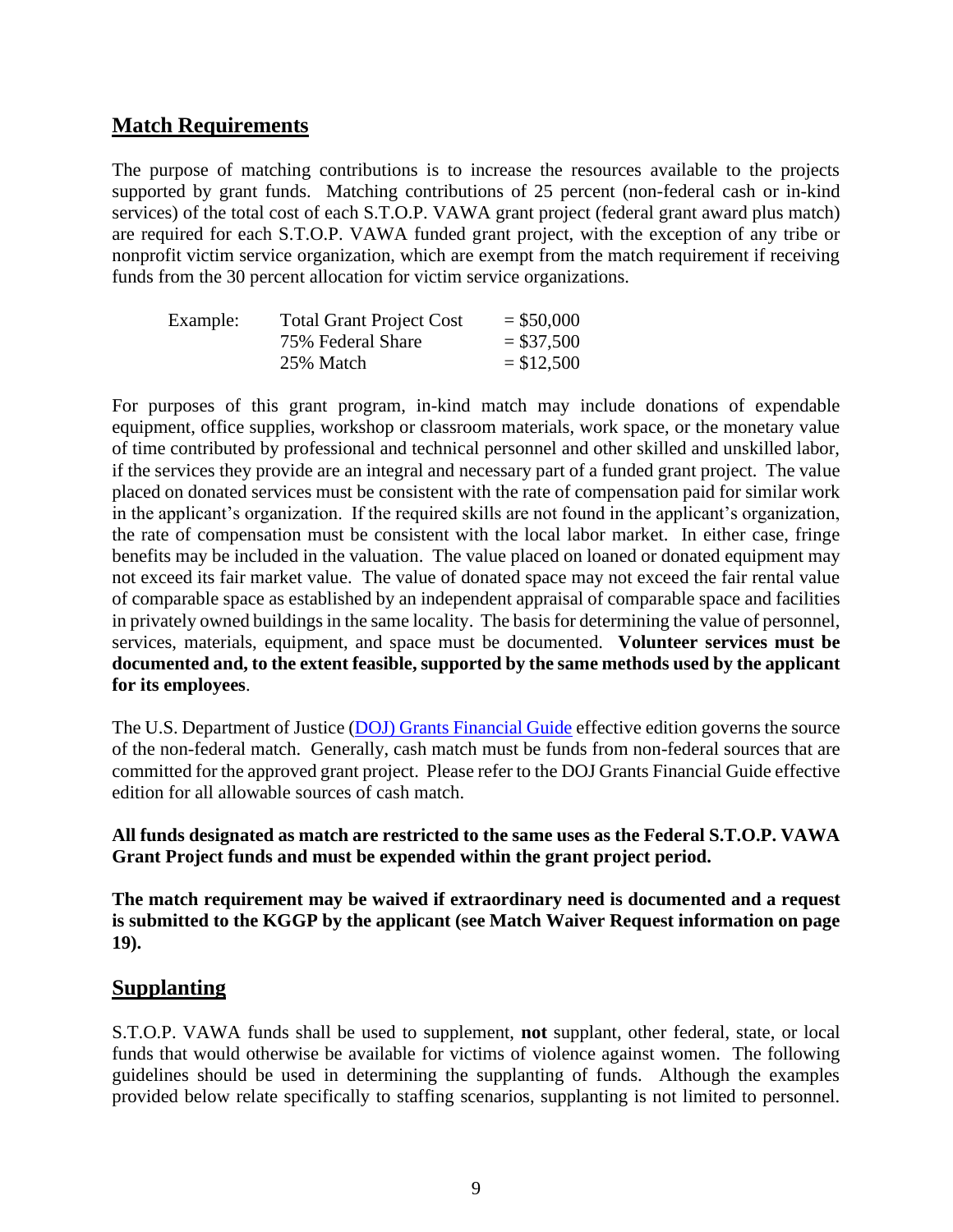## **Match Requirements**

The purpose of matching contributions is to increase the resources available to the projects supported by grant funds. Matching contributions of 25 percent (non-federal cash or in-kind services) of the total cost of each S.T.O.P. VAWA grant project (federal grant award plus match) are required for each S.T.O.P. VAWA funded grant project, with the exception of any tribe or nonprofit victim service organization, which are exempt from the match requirement if receiving funds from the 30 percent allocation for victim service organizations.

| Example: | <b>Total Grant Project Cost</b> | $=$ \$50,000 |
|----------|---------------------------------|--------------|
|          | 75% Federal Share               | $= $37,500$  |
|          | 25% Match                       | $= $12,500$  |

For purposes of this grant program, in-kind match may include donations of expendable equipment, office supplies, workshop or classroom materials, work space, or the monetary value of time contributed by professional and technical personnel and other skilled and unskilled labor, if the services they provide are an integral and necessary part of a funded grant project. The value placed on donated services must be consistent with the rate of compensation paid for similar work in the applicant's organization. If the required skills are not found in the applicant's organization, the rate of compensation must be consistent with the local labor market. In either case, fringe benefits may be included in the valuation. The value placed on loaned or donated equipment may not exceed its fair market value. The value of donated space may not exceed the fair rental value of comparable space as established by an independent appraisal of comparable space and facilities in privately owned buildings in the same locality. The basis for determining the value of personnel, services, materials, equipment, and space must be documented. **Volunteer services must be documented and, to the extent feasible, supported by the same methods used by the applicant for its employees**.

The U.S. Department of Justice (DOJ) [Grants Financial Guide](http://ojp.gov/financialguide/DOJ/index.htm) effective edition governs the source of the non-federal match. Generally, cash match must be funds from non-federal sources that are committed for the approved grant project. Please refer to the DOJ Grants Financial Guide effective edition for all allowable sources of cash match.

## **All funds designated as match are restricted to the same uses as the Federal S.T.O.P. VAWA Grant Project funds and must be expended within the grant project period.**

**The match requirement may be waived if extraordinary need is documented and a request is submitted to the KGGP by the applicant (see Match Waiver Request information on page 19).**

## **Supplanting**

S.T.O.P. VAWA funds shall be used to supplement, **not** supplant, other federal, state, or local funds that would otherwise be available for victims of violence against women. The following guidelines should be used in determining the supplanting of funds. Although the examples provided below relate specifically to staffing scenarios, supplanting is not limited to personnel.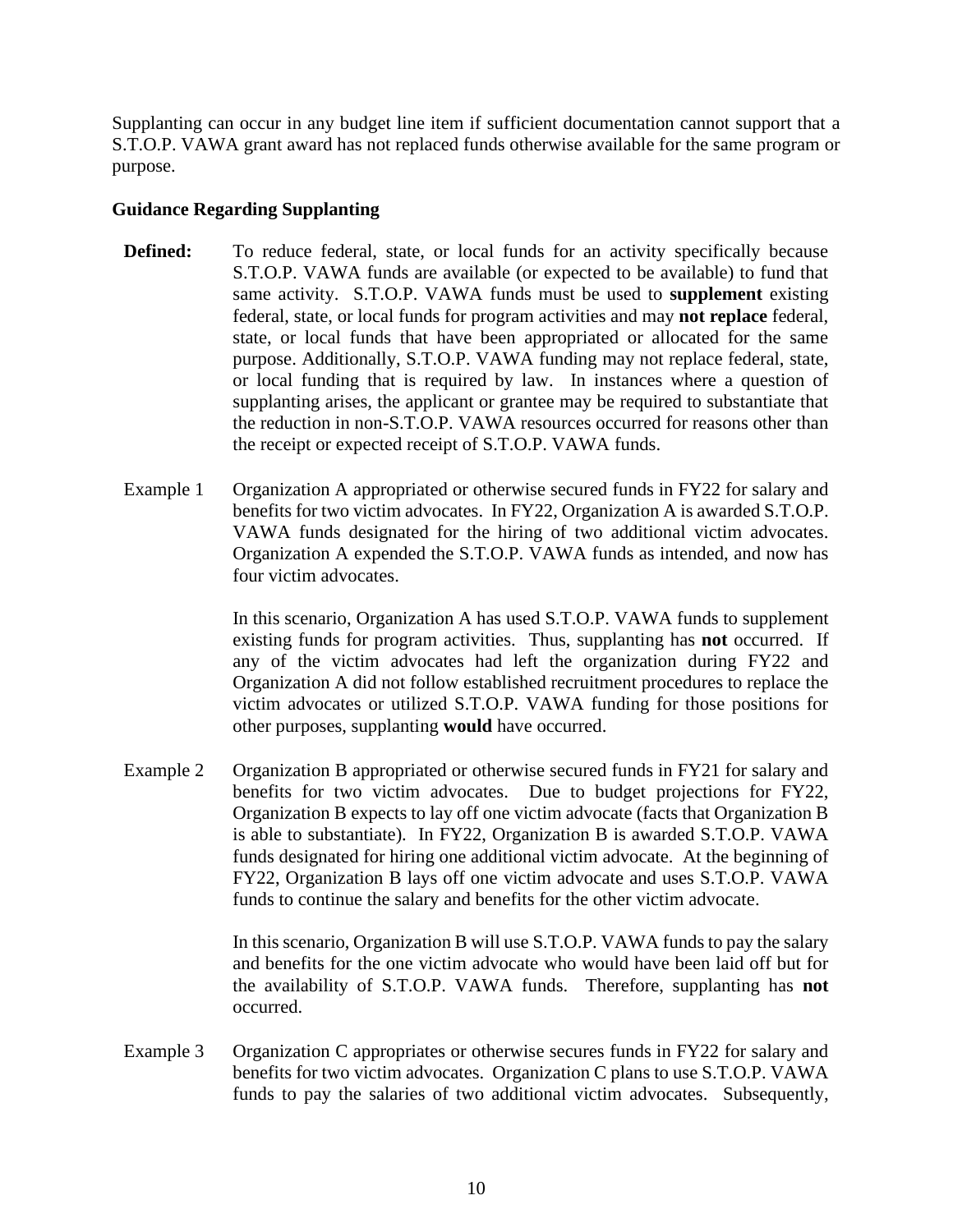Supplanting can occur in any budget line item if sufficient documentation cannot support that a S.T.O.P. VAWA grant award has not replaced funds otherwise available for the same program or purpose.

#### **Guidance Regarding Supplanting**

- **Defined:** To reduce federal, state, or local funds for an activity specifically because S.T.O.P. VAWA funds are available (or expected to be available) to fund that same activity. S.T.O.P. VAWA funds must be used to **supplement** existing federal, state, or local funds for program activities and may **not replace** federal, state, or local funds that have been appropriated or allocated for the same purpose. Additionally, S.T.O.P. VAWA funding may not replace federal, state, or local funding that is required by law. In instances where a question of supplanting arises, the applicant or grantee may be required to substantiate that the reduction in non-S.T.O.P. VAWA resources occurred for reasons other than the receipt or expected receipt of S.T.O.P. VAWA funds.
- Example 1 Organization A appropriated or otherwise secured funds in FY22 for salary and benefits for two victim advocates. In FY22, Organization A is awarded S.T.O.P. VAWA funds designated for the hiring of two additional victim advocates. Organization A expended the S.T.O.P. VAWA funds as intended, and now has four victim advocates.

In this scenario, Organization A has used S.T.O.P. VAWA funds to supplement existing funds for program activities. Thus, supplanting has **not** occurred. If any of the victim advocates had left the organization during FY22 and Organization A did not follow established recruitment procedures to replace the victim advocates or utilized S.T.O.P. VAWA funding for those positions for other purposes, supplanting **would** have occurred.

Example 2 Organization B appropriated or otherwise secured funds in FY21 for salary and benefits for two victim advocates. Due to budget projections for FY22, Organization B expects to lay off one victim advocate (facts that Organization B is able to substantiate). In FY22, Organization B is awarded S.T.O.P. VAWA funds designated for hiring one additional victim advocate. At the beginning of FY22, Organization B lays off one victim advocate and uses S.T.O.P. VAWA funds to continue the salary and benefits for the other victim advocate.

> In this scenario, Organization B will use S.T.O.P. VAWA funds to pay the salary and benefits for the one victim advocate who would have been laid off but for the availability of S.T.O.P. VAWA funds. Therefore, supplanting has **not** occurred.

Example 3 Organization C appropriates or otherwise secures funds in FY22 for salary and benefits for two victim advocates. Organization C plans to use S.T.O.P. VAWA funds to pay the salaries of two additional victim advocates. Subsequently,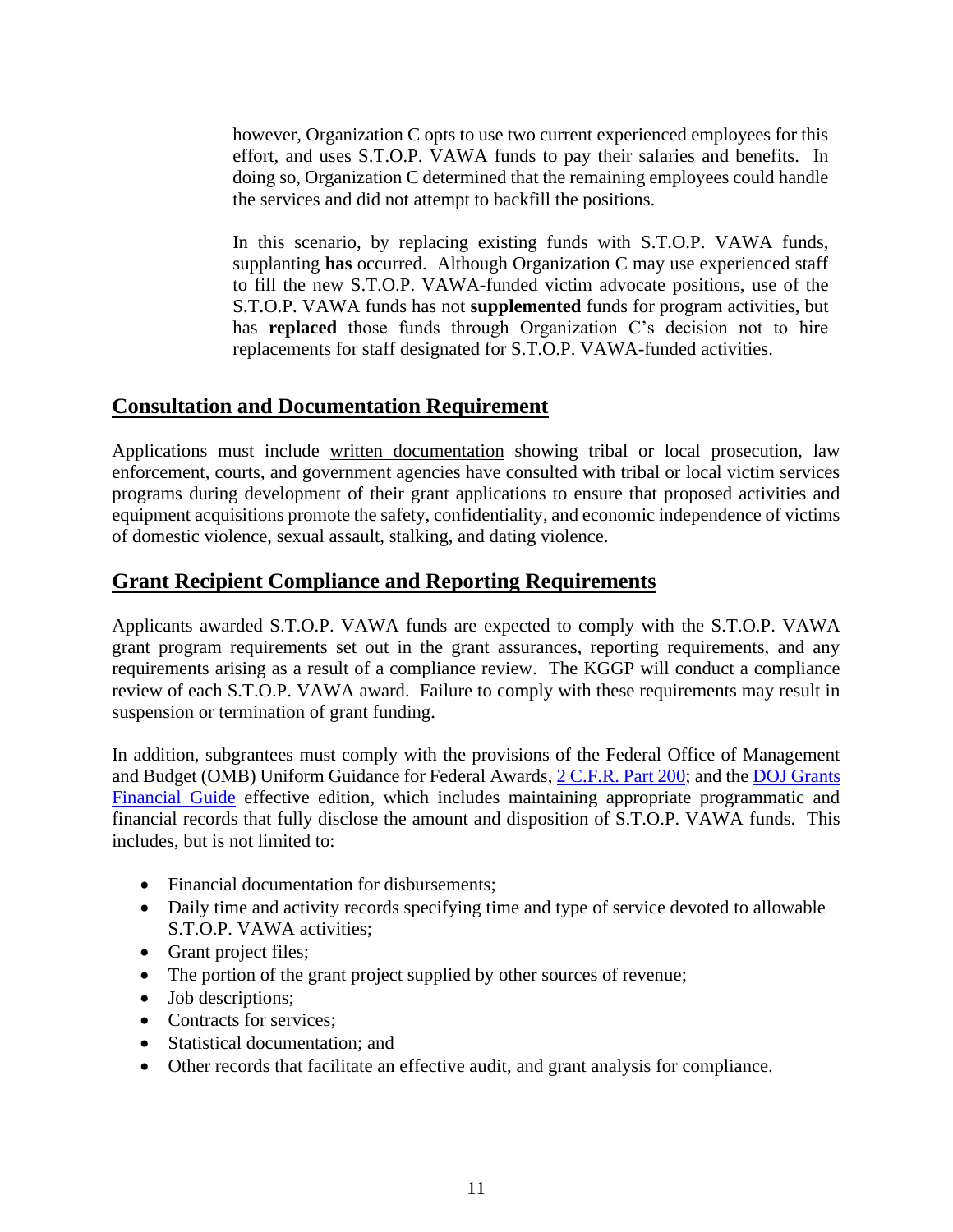however, Organization C opts to use two current experienced employees for this effort, and uses S.T.O.P. VAWA funds to pay their salaries and benefits. In doing so, Organization C determined that the remaining employees could handle the services and did not attempt to backfill the positions.

In this scenario, by replacing existing funds with S.T.O.P. VAWA funds, supplanting **has** occurred. Although Organization C may use experienced staff to fill the new S.T.O.P. VAWA-funded victim advocate positions, use of the S.T.O.P. VAWA funds has not **supplemented** funds for program activities, but has **replaced** those funds through Organization C's decision not to hire replacements for staff designated for S.T.O.P. VAWA-funded activities.

## **Consultation and Documentation Requirement**

Applications must include written documentation showing tribal or local prosecution, law enforcement, courts, and government agencies have consulted with tribal or local victim services programs during development of their grant applications to ensure that proposed activities and equipment acquisitions promote the safety, confidentiality, and economic independence of victims of domestic violence, sexual assault, stalking, and dating violence.

## **Grant Recipient Compliance and Reporting Requirements**

Applicants awarded S.T.O.P. VAWA funds are expected to comply with the S.T.O.P. VAWA grant program requirements set out in the grant assurances, reporting requirements, and any requirements arising as a result of a compliance review. The KGGP will conduct a compliance review of each S.T.O.P. VAWA award. Failure to comply with these requirements may result in suspension or termination of grant funding.

In addition, subgrantees must comply with the provisions of the Federal Office of Management and Budget (OMB) Uniform Guidance for Federal Awards[, 2 C.F.R.](http://www.ecfr.gov/cgi-bin/text-idx?SID=2c6d1c9f8de1f9619110b4599d84a234&mc=true&node=pt2.1.200&rgn=div5#_top) Part 200; and th[e DOJ Grants](http://ojp.gov/financialguide/DOJ/index.htm)  [Financial Guide](http://ojp.gov/financialguide/DOJ/index.htm) effective edition, which includes maintaining appropriate programmatic and financial records that fully disclose the amount and disposition of S.T.O.P. VAWA funds. This includes, but is not limited to:

- Financial documentation for disbursements;
- Daily time and activity records specifying time and type of service devoted to allowable S.T.O.P. VAWA activities;
- Grant project files;
- The portion of the grant project supplied by other sources of revenue;
- Job descriptions;
- Contracts for services:
- Statistical documentation: and
- Other records that facilitate an effective audit, and grant analysis for compliance.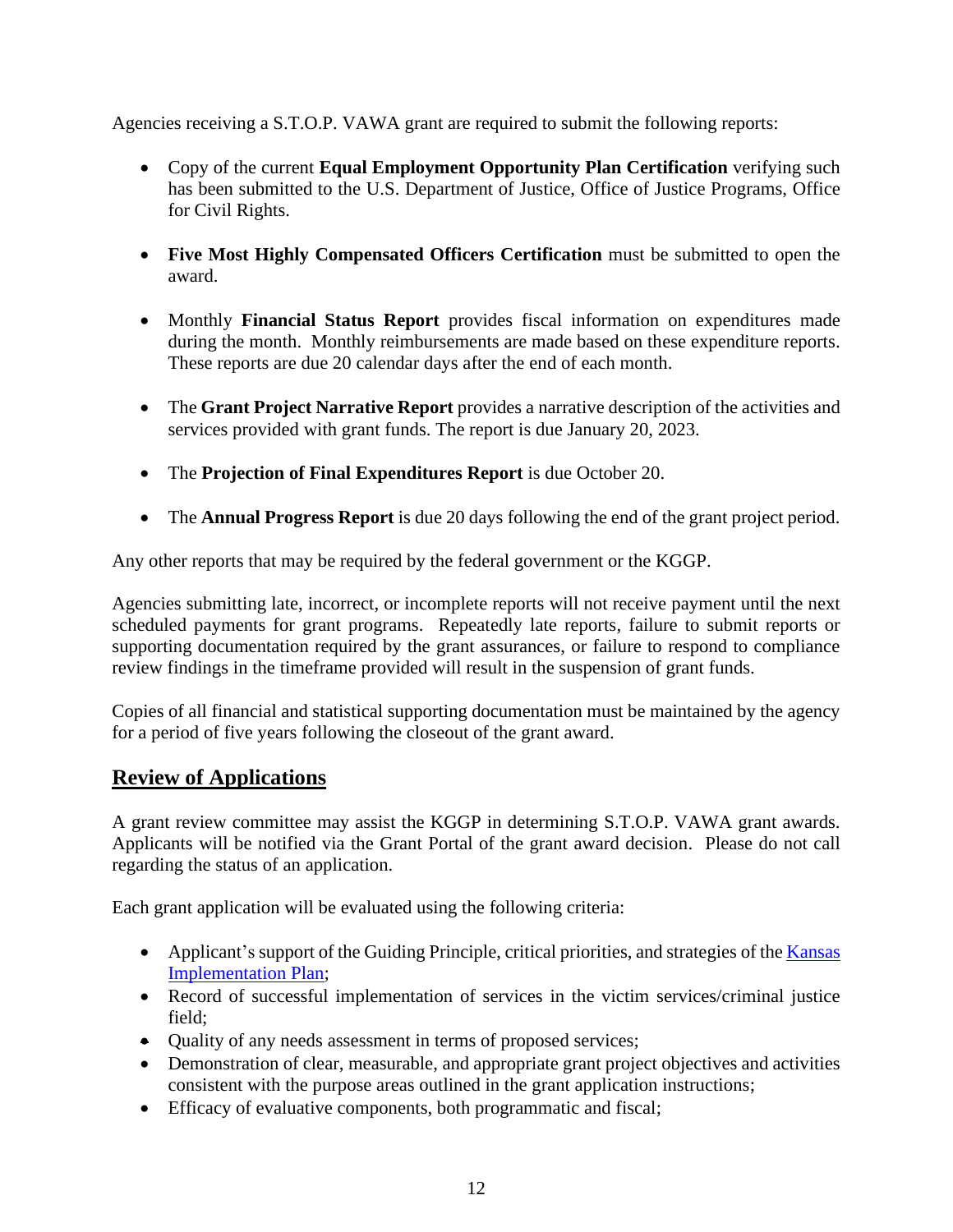Agencies receiving a S.T.O.P. VAWA grant are required to submit the following reports:

- Copy of the current **Equal Employment Opportunity Plan Certification** verifying such has been submitted to the U.S. Department of Justice, Office of Justice Programs, Office for Civil Rights.
- **Five Most Highly Compensated Officers Certification** must be submitted to open the award.
- Monthly **Financial Status Report** provides fiscal information on expenditures made during the month. Monthly reimbursements are made based on these expenditure reports. These reports are due 20 calendar days after the end of each month.
- The **Grant Project Narrative Report** provides a narrative description of the activities and services provided with grant funds. The report is due January 20, 2023.
- The **Projection of Final Expenditures Report** is due October 20.
- The **Annual Progress Report** is due 20 days following the end of the grant project period.

Any other reports that may be required by the federal government or the KGGP.

Agencies submitting late, incorrect, or incomplete reports will not receive payment until the next scheduled payments for grant programs. Repeatedly late reports, failure to submit reports or supporting documentation required by the grant assurances, or failure to respond to compliance review findings in the timeframe provided will result in the suspension of grant funds.

Copies of all financial and statistical supporting documentation must be maintained by the agency for a period of five years following the closeout of the grant award.

## **Review of Applications**

A grant review committee may assist the KGGP in determining S.T.O.P. VAWA grant awards. Applicants will be notified via the Grant Portal of the grant award decision. Please do not call regarding the status of an application.

Each grant application will be evaluated using the following criteria:

- Applicant's support of the Guiding Principle, critical priorities, and strategies of the Kansas [Implementation Plan;](https://grants.ks.gov/docs/librariesprovider22/grant-reports/kansas-implementation-plan-2022-2025.pdf?sfvrsn=ec529846_7)
- Record of successful implementation of services in the victim services/criminal justice field;
- Quality of any needs assessment in terms of proposed services;
- Demonstration of clear, measurable, and appropriate grant project objectives and activities consistent with the purpose areas outlined in the grant application instructions;
- Efficacy of evaluative components, both programmatic and fiscal;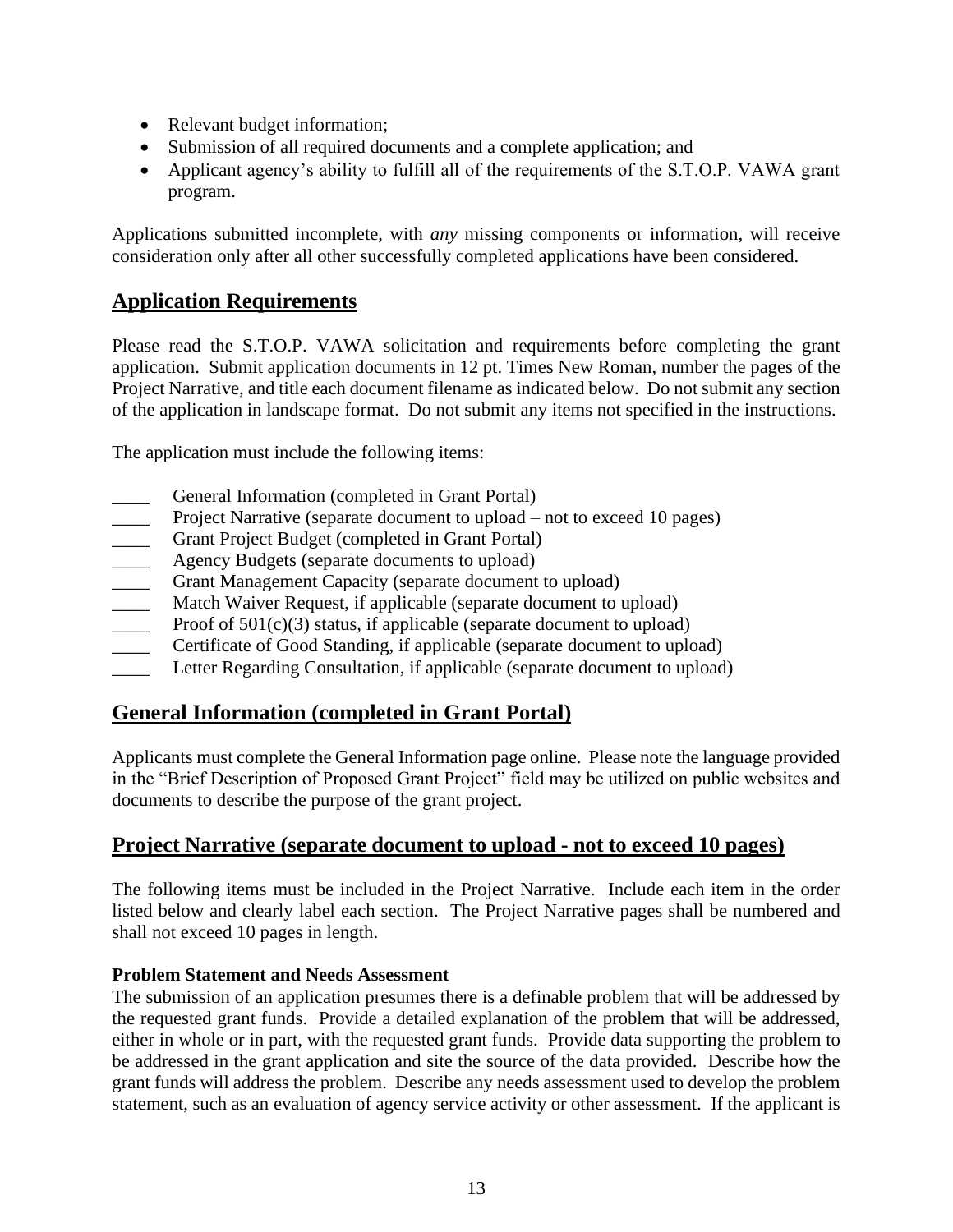- Relevant budget information;
- Submission of all required documents and a complete application; and
- Applicant agency's ability to fulfill all of the requirements of the S.T.O.P. VAWA grant program.

Applications submitted incomplete, with *any* missing components or information, will receive consideration only after all other successfully completed applications have been considered.

## **Application Requirements**

Please read the S.T.O.P. VAWA solicitation and requirements before completing the grant application. Submit application documents in 12 pt. Times New Roman, number the pages of the Project Narrative, and title each document filename as indicated below. Do not submit any section of the application in landscape format. Do not submit any items not specified in the instructions.

The application must include the following items:

- General Information (completed in Grant Portal)
- Project Narrative (separate document to upload not to exceed 10 pages)
- Grant Project Budget (completed in Grant Portal)
- Agency Budgets (separate documents to upload)
- \_\_\_\_ Grant Management Capacity (separate document to upload)
- Match Waiver Request, if applicable (separate document to upload)
- $\frac{1}{2}$  Proof of 501(c)(3) status, if applicable (separate document to upload)
- Certificate of Good Standing, if applicable (separate document to upload)
- Letter Regarding Consultation, if applicable (separate document to upload)

## **General Information (completed in Grant Portal)**

Applicants must complete the General Information page online. Please note the language provided in the "Brief Description of Proposed Grant Project" field may be utilized on public websites and documents to describe the purpose of the grant project.

## **Project Narrative (separate document to upload - not to exceed 10 pages)**

The following items must be included in the Project Narrative. Include each item in the order listed below and clearly label each section. The Project Narrative pages shall be numbered and shall not exceed 10 pages in length.

## **Problem Statement and Needs Assessment**

The submission of an application presumes there is a definable problem that will be addressed by the requested grant funds. Provide a detailed explanation of the problem that will be addressed, either in whole or in part, with the requested grant funds. Provide data supporting the problem to be addressed in the grant application and site the source of the data provided. Describe how the grant funds will address the problem. Describe any needs assessment used to develop the problem statement, such as an evaluation of agency service activity or other assessment. If the applicant is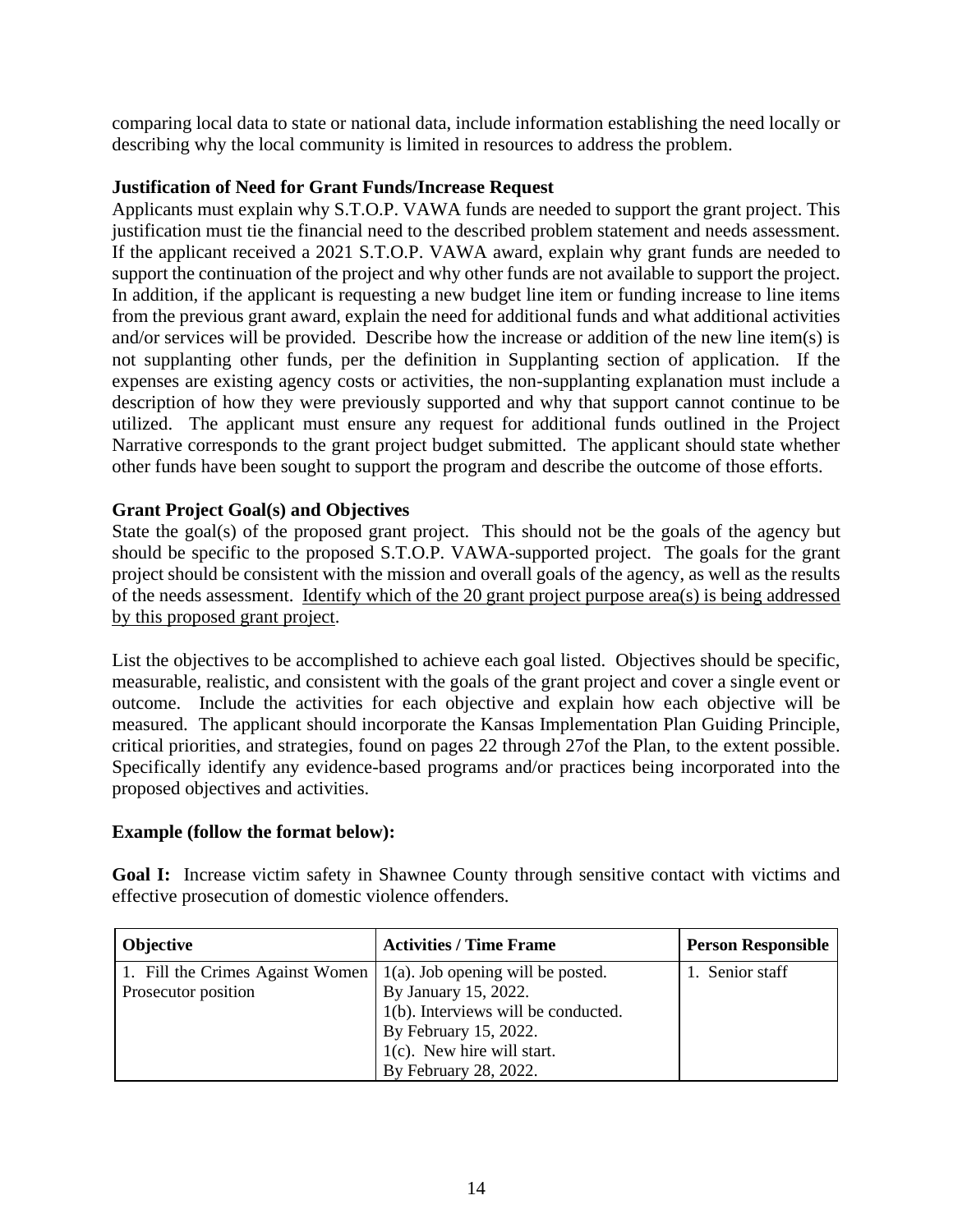comparing local data to state or national data, include information establishing the need locally or describing why the local community is limited in resources to address the problem.

#### **Justification of Need for Grant Funds/Increase Request**

Applicants must explain why S.T.O.P. VAWA funds are needed to support the grant project. This justification must tie the financial need to the described problem statement and needs assessment. If the applicant received a 2021 S.T.O.P. VAWA award, explain why grant funds are needed to support the continuation of the project and why other funds are not available to support the project. In addition, if the applicant is requesting a new budget line item or funding increase to line items from the previous grant award, explain the need for additional funds and what additional activities and/or services will be provided. Describe how the increase or addition of the new line item(s) is not supplanting other funds, per the definition in Supplanting section of application. If the expenses are existing agency costs or activities, the non-supplanting explanation must include a description of how they were previously supported and why that support cannot continue to be utilized. The applicant must ensure any request for additional funds outlined in the Project Narrative corresponds to the grant project budget submitted. The applicant should state whether other funds have been sought to support the program and describe the outcome of those efforts.

## **Grant Project Goal(s) and Objectives**

State the goal(s) of the proposed grant project. This should not be the goals of the agency but should be specific to the proposed S.T.O.P. VAWA-supported project. The goals for the grant project should be consistent with the mission and overall goals of the agency, as well as the results of the needs assessment. Identify which of the 20 grant project purpose area(s) is being addressed by this proposed grant project.

List the objectives to be accomplished to achieve each goal listed. Objectives should be specific, measurable, realistic, and consistent with the goals of the grant project and cover a single event or outcome. Include the activities for each objective and explain how each objective will be measured. The applicant should incorporate the Kansas Implementation Plan Guiding Principle, critical priorities, and strategies, found on pages 22 through 27of the Plan, to the extent possible. Specifically identify any evidence-based programs and/or practices being incorporated into the proposed objectives and activities.

## **Example (follow the format below):**

**Goal I:** Increase victim safety in Shawnee County through sensitive contact with victims and effective prosecution of domestic violence offenders.

| <b>Objective</b>                 | <b>Activities / Time Frame</b>       | <b>Person Responsible</b> |
|----------------------------------|--------------------------------------|---------------------------|
| 1. Fill the Crimes Against Women | $1(a)$ . Job opening will be posted. | 1. Senior staff           |
| Prosecutor position              | By January 15, 2022.                 |                           |
|                                  | 1(b). Interviews will be conducted.  |                           |
|                                  | By February 15, 2022.                |                           |
|                                  | $1(c)$ . New hire will start.        |                           |
|                                  | By February 28, 2022.                |                           |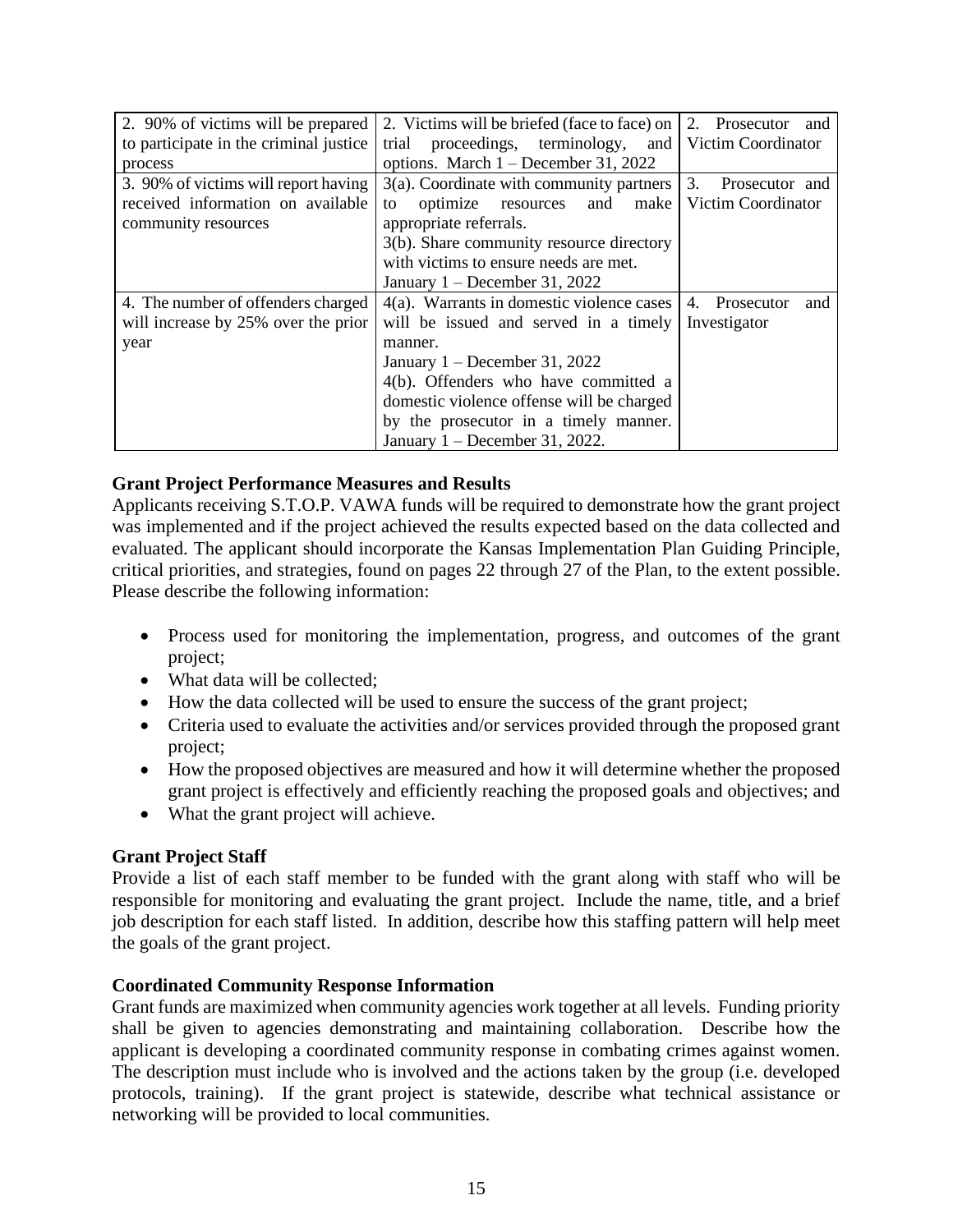| 2. 90% of victims will be prepared     | 2. Victims will be briefed (face to face) on | 2. Prosecutor<br>and |
|----------------------------------------|----------------------------------------------|----------------------|
| to participate in the criminal justice | proceedings, terminology,<br>trial<br>and    | Victim Coordinator   |
| process                                | options. March $1 -$ December 31, 2022       |                      |
| 3. 90% of victims will report having   | $3(a)$ . Coordinate with community partners  | 3.<br>Prosecutor and |
| received information on available      | optimize<br>make<br>and<br>resources<br>to   | Victim Coordinator   |
| community resources                    | appropriate referrals.                       |                      |
|                                        | 3(b). Share community resource directory     |                      |
|                                        | with victims to ensure needs are met.        |                      |
|                                        | January $1 -$ December 31, 2022              |                      |
| 4. The number of offenders charged     | 4(a). Warrants in domestic violence cases    | 4. Prosecutor<br>and |
| will increase by 25% over the prior    | will be issued and served in a timely        | Investigator         |
| year                                   | manner.                                      |                      |
|                                        | January $1 -$ December 31, 2022              |                      |
|                                        | 4(b). Offenders who have committed a         |                      |
|                                        | domestic violence offense will be charged    |                      |
|                                        | by the prosecutor in a timely manner.        |                      |
|                                        | January $1 -$ December 31, 2022.             |                      |

#### **Grant Project Performance Measures and Results**

Applicants receiving S.T.O.P. VAWA funds will be required to demonstrate how the grant project was implemented and if the project achieved the results expected based on the data collected and evaluated. The applicant should incorporate the Kansas Implementation Plan Guiding Principle, critical priorities, and strategies, found on pages 22 through 27 of the Plan, to the extent possible. Please describe the following information:

- Process used for monitoring the implementation, progress, and outcomes of the grant project;
- What data will be collected;
- How the data collected will be used to ensure the success of the grant project;
- Criteria used to evaluate the activities and/or services provided through the proposed grant project;
- How the proposed objectives are measured and how it will determine whether the proposed grant project is effectively and efficiently reaching the proposed goals and objectives; and
- What the grant project will achieve.

## **Grant Project Staff**

Provide a list of each staff member to be funded with the grant along with staff who will be responsible for monitoring and evaluating the grant project. Include the name, title, and a brief job description for each staff listed. In addition, describe how this staffing pattern will help meet the goals of the grant project.

#### **Coordinated Community Response Information**

Grant funds are maximized when community agencies work together at all levels. Funding priority shall be given to agencies demonstrating and maintaining collaboration. Describe how the applicant is developing a coordinated community response in combating crimes against women. The description must include who is involved and the actions taken by the group (i.e. developed protocols, training). If the grant project is statewide, describe what technical assistance or networking will be provided to local communities.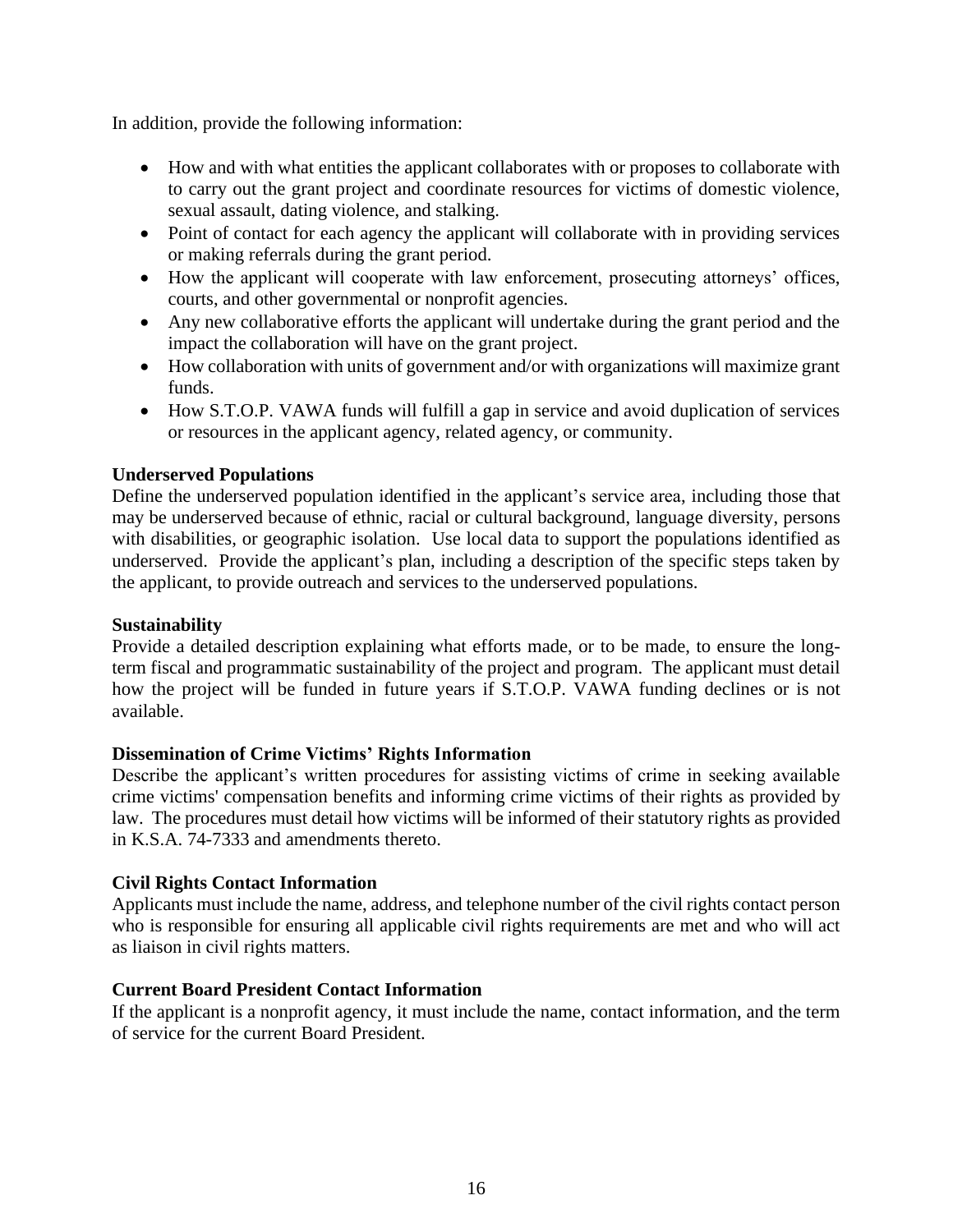In addition, provide the following information:

- How and with what entities the applicant collaborates with or proposes to collaborate with to carry out the grant project and coordinate resources for victims of domestic violence, sexual assault, dating violence, and stalking.
- Point of contact for each agency the applicant will collaborate with in providing services or making referrals during the grant period.
- How the applicant will cooperate with law enforcement, prosecuting attorneys' offices, courts, and other governmental or nonprofit agencies.
- Any new collaborative efforts the applicant will undertake during the grant period and the impact the collaboration will have on the grant project.
- How collaboration with units of government and/or with organizations will maximize grant funds.
- How S.T.O.P. VAWA funds will fulfill a gap in service and avoid duplication of services or resources in the applicant agency, related agency, or community.

## **Underserved Populations**

Define the underserved population identified in the applicant's service area, including those that may be underserved because of ethnic, racial or cultural background, language diversity, persons with disabilities, or geographic isolation. Use local data to support the populations identified as underserved. Provide the applicant's plan, including a description of the specific steps taken by the applicant, to provide outreach and services to the underserved populations.

## **Sustainability**

Provide a detailed description explaining what efforts made, or to be made, to ensure the longterm fiscal and programmatic sustainability of the project and program. The applicant must detail how the project will be funded in future years if S.T.O.P. VAWA funding declines or is not available.

## **Dissemination of Crime Victims' Rights Information**

Describe the applicant's written procedures for assisting victims of crime in seeking available crime victims' compensation benefits and informing crime victims of their rights as provided by law. The procedures must detail how victims will be informed of their statutory rights as provided in K.S.A. 74-7333 and amendments thereto.

## **Civil Rights Contact Information**

Applicants must include the name, address, and telephone number of the civil rights contact person who is responsible for ensuring all applicable civil rights requirements are met and who will act as liaison in civil rights matters.

#### **Current Board President Contact Information**

If the applicant is a nonprofit agency, it must include the name, contact information, and the term of service for the current Board President.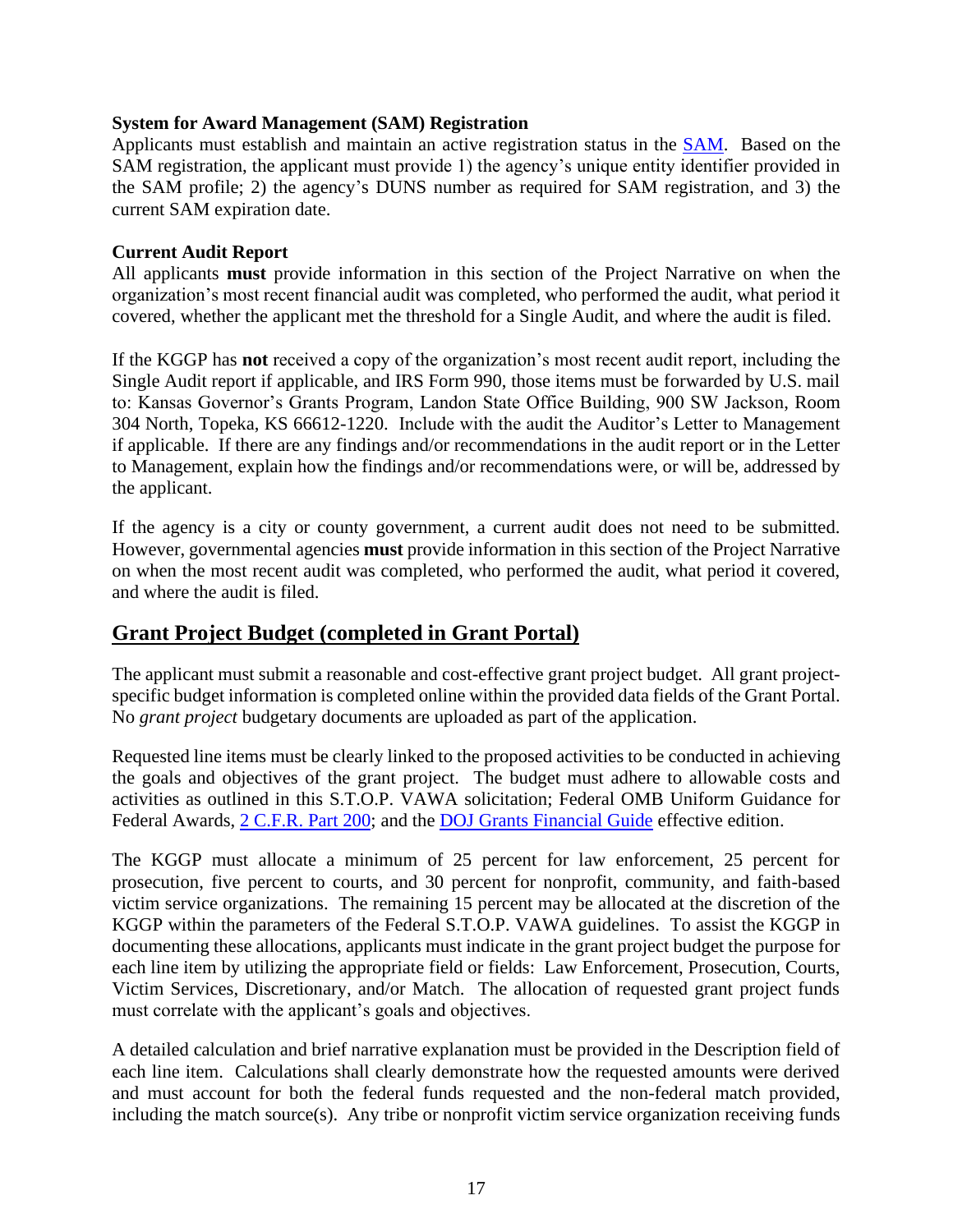#### **System for Award Management (SAM) Registration**

Applicants must establish and maintain an active registration status in the [SAM.](http://www.sam.gov/) Based on the SAM registration, the applicant must provide 1) the agency's unique entity identifier provided in the SAM profile; 2) the agency's DUNS number as required for SAM registration, and 3) the current SAM expiration date.

#### **Current Audit Report**

All applicants **must** provide information in this section of the Project Narrative on when the organization's most recent financial audit was completed, who performed the audit, what period it covered, whether the applicant met the threshold for a Single Audit, and where the audit is filed.

If the KGGP has **not** received a copy of the organization's most recent audit report, including the Single Audit report if applicable, and IRS Form 990, those items must be forwarded by U.S. mail to: Kansas Governor's Grants Program, Landon State Office Building, 900 SW Jackson, Room 304 North, Topeka, KS 66612-1220. Include with the audit the Auditor's Letter to Management if applicable. If there are any findings and/or recommendations in the audit report or in the Letter to Management, explain how the findings and/or recommendations were, or will be, addressed by the applicant.

If the agency is a city or county government, a current audit does not need to be submitted. However, governmental agencies **must** provide information in this section of the Project Narrative on when the most recent audit was completed, who performed the audit, what period it covered, and where the audit is filed.

## **Grant Project Budget (completed in Grant Portal)**

The applicant must submit a reasonable and cost-effective grant project budget. All grant projectspecific budget information is completed online within the provided data fields of the Grant Portal. No *grant project* budgetary documents are uploaded as part of the application.

Requested line items must be clearly linked to the proposed activities to be conducted in achieving the goals and objectives of the grant project. The budget must adhere to allowable costs and activities as outlined in this S.T.O.P. VAWA solicitation; Federal OMB Uniform Guidance for Federal Awards, [2 C.F.R.](http://www.ecfr.gov/cgi-bin/text-idx?SID=2c6d1c9f8de1f9619110b4599d84a234&mc=true&node=pt2.1.200&rgn=div5#_top) Part 200; and the [DOJ Grants Financial Guide](http://ojp.gov/financialguide/DOJ/index.htm) effective edition.

The KGGP must allocate a minimum of 25 percent for law enforcement, 25 percent for prosecution, five percent to courts, and 30 percent for nonprofit, community, and faith-based victim service organizations. The remaining 15 percent may be allocated at the discretion of the KGGP within the parameters of the Federal S.T.O.P. VAWA guidelines. To assist the KGGP in documenting these allocations, applicants must indicate in the grant project budget the purpose for each line item by utilizing the appropriate field or fields: Law Enforcement, Prosecution, Courts, Victim Services, Discretionary, and/or Match. The allocation of requested grant project funds must correlate with the applicant's goals and objectives.

A detailed calculation and brief narrative explanation must be provided in the Description field of each line item. Calculations shall clearly demonstrate how the requested amounts were derived and must account for both the federal funds requested and the non-federal match provided, including the match source(s). Any tribe or nonprofit victim service organization receiving funds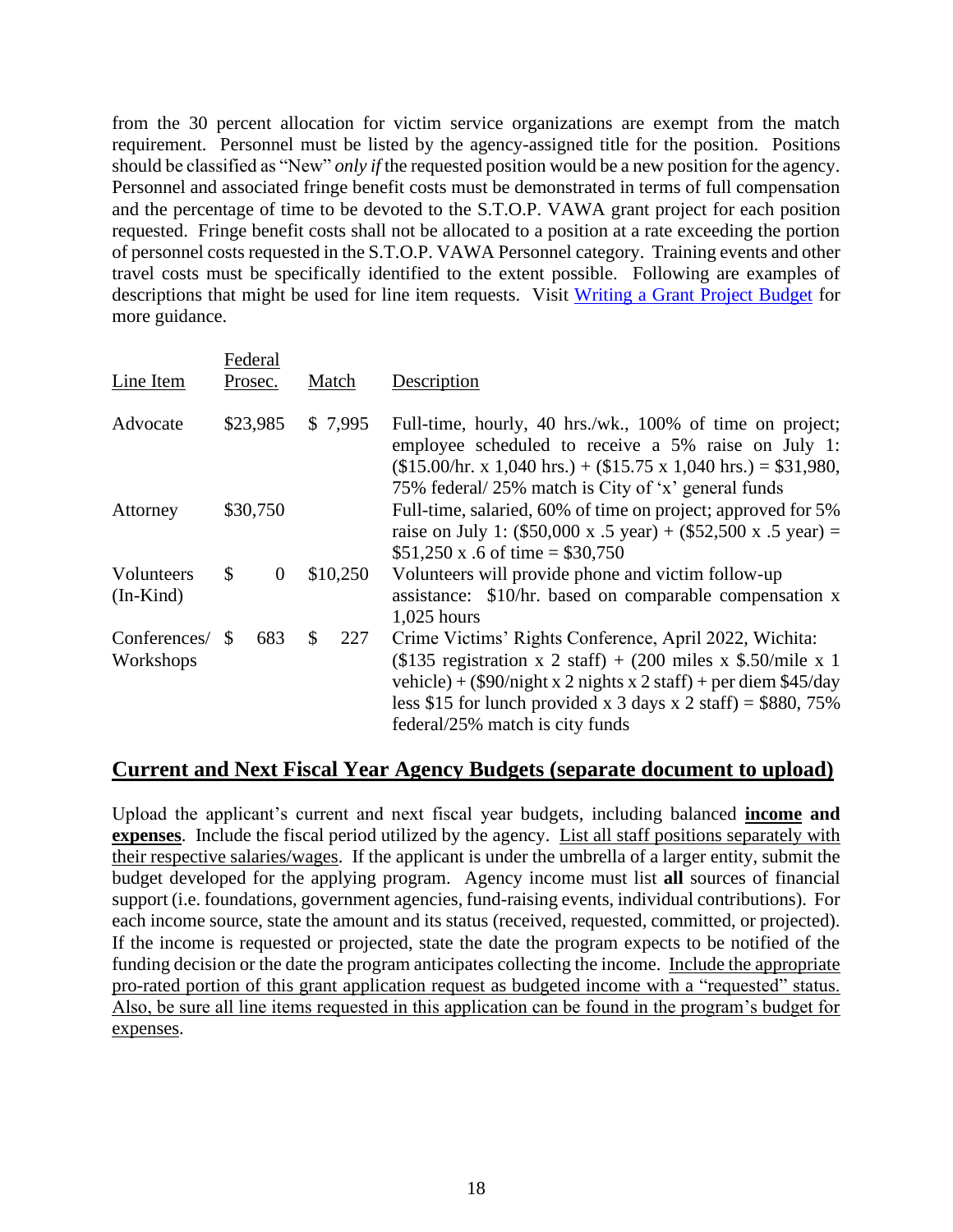from the 30 percent allocation for victim service organizations are exempt from the match requirement. Personnel must be listed by the agency-assigned title for the position. Positions should be classified as "New" *only if* the requested position would be a new position for the agency. Personnel and associated fringe benefit costs must be demonstrated in terms of full compensation and the percentage of time to be devoted to the S.T.O.P. VAWA grant project for each position requested. Fringe benefit costs shall not be allocated to a position at a rate exceeding the portion of personnel costs requested in the S.T.O.P. VAWA Personnel category. Training events and other travel costs must be specifically identified to the extent possible. Following are examples of descriptions that might be used for line item requests. Visit [Writing a Grant Project Budget](https://grants.ks.gov/docs/default-source/how-to-guides/writing-a-grant-project-budget-guide.pdf?sfvrsn=2d1f541a_4) for more guidance.

| Line Item                 |                     | Federal<br>Prosec. |    | Match                                                                                                                                                                                                                                   | Description                                                                                                                                                                                                                                                                                                |
|---------------------------|---------------------|--------------------|----|-----------------------------------------------------------------------------------------------------------------------------------------------------------------------------------------------------------------------------------------|------------------------------------------------------------------------------------------------------------------------------------------------------------------------------------------------------------------------------------------------------------------------------------------------------------|
| Advocate                  | \$23,985<br>\$7,995 |                    |    | Full-time, hourly, 40 hrs./wk., 100% of time on project;<br>employee scheduled to receive a 5% raise on July 1:<br>$($15.00/hr. x 1,040 hrs.) + ($15.75 x 1,040 hrs.) = $31,980,$<br>75% federal/25% match is City of 'x' general funds |                                                                                                                                                                                                                                                                                                            |
| Attorney                  | \$30,750            |                    |    | Full-time, salaried, 60% of time on project; approved for 5%<br>raise on July 1: $(\$50,000 \times .5 \text{ year}) + (\$52,500 \times .5 \text{ year}) =$<br>$$51,250 \text{ x}.6 \text{ of time} = $30,750$                           |                                                                                                                                                                                                                                                                                                            |
| Volunteers<br>$(In-Kind)$ | \$                  | $\overline{0}$     |    | \$10,250                                                                                                                                                                                                                                | Volunteers will provide phone and victim follow-up<br>assistance: \$10/hr. based on comparable compensation x<br>$1,025$ hours                                                                                                                                                                             |
| Conferences/<br>Workshops | \$.                 | 683                | \$ | 227                                                                                                                                                                                                                                     | Crime Victims' Rights Conference, April 2022, Wichita:<br>$($135$ registration x 2 staff) + (200 miles x \$.50/mile x 1<br>vehicle) + $(\$90/night \times 2$ nights $x 2$ staff) + per diem \$45/day<br>less \$15 for lunch provided x 3 days x 2 staff) = $$880, 75\%$<br>federal/25% match is city funds |

## **Current and Next Fiscal Year Agency Budgets (separate document to upload)**

Upload the applicant's current and next fiscal year budgets, including balanced **income and expenses**. Include the fiscal period utilized by the agency. List all staff positions separately with their respective salaries/wages. If the applicant is under the umbrella of a larger entity, submit the budget developed for the applying program. Agency income must list **all** sources of financial support (i.e. foundations, government agencies, fund-raising events, individual contributions). For each income source, state the amount and its status (received, requested, committed, or projected). If the income is requested or projected, state the date the program expects to be notified of the funding decision or the date the program anticipates collecting the income. Include the appropriate pro-rated portion of this grant application request as budgeted income with a "requested" status. Also, be sure all line items requested in this application can be found in the program's budget for expenses.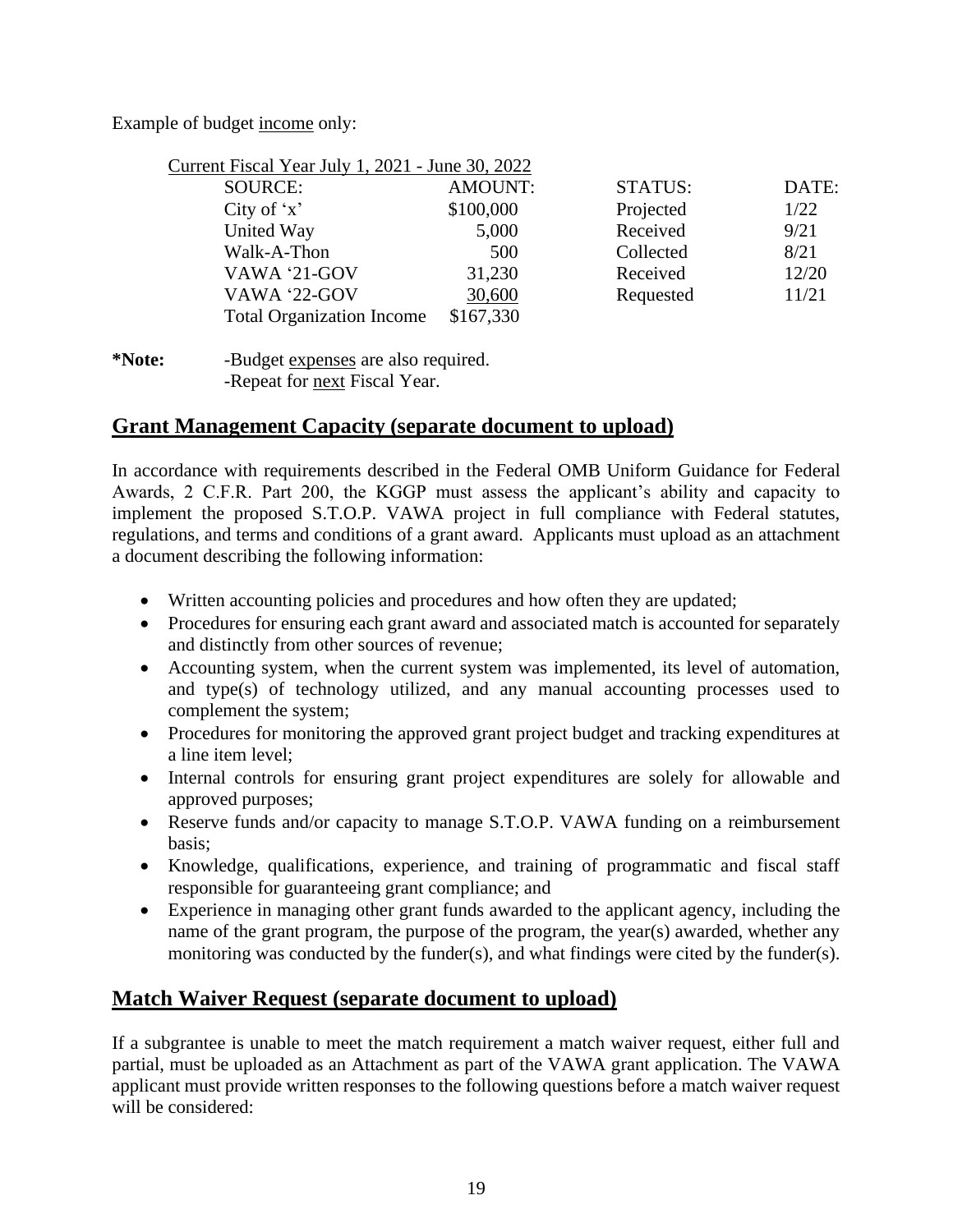Example of budget income only:

| Current Fiscal Year July 1, 2021 - June 30, 2022 |                |                |       |
|--------------------------------------------------|----------------|----------------|-------|
| SOURCE:                                          | <b>AMOUNT:</b> | <b>STATUS:</b> | DATE: |
| City of $x'$                                     | \$100,000      | Projected      | 1/22  |
| United Way                                       | 5,000          | Received       | 9/21  |
| Walk-A-Thon                                      | 500            | Collected      | 8/21  |
| VAWA '21-GOV                                     | 31,230         | Received       | 12/20 |
| VAWA '22-GOV                                     | 30,600         | Requested      | 11/21 |
| <b>Total Organization Income</b>                 | \$167,330      |                |       |

**\*Note:** -Budget expenses are also required. -Repeat for next Fiscal Year.

## **Grant Management Capacity (separate document to upload)**

In accordance with requirements described in the Federal OMB Uniform Guidance for Federal Awards, 2 C.F.R. Part 200, the KGGP must assess the applicant's ability and capacity to implement the proposed S.T.O.P. VAWA project in full compliance with Federal statutes, regulations, and terms and conditions of a grant award. Applicants must upload as an attachment a document describing the following information:

- Written accounting policies and procedures and how often they are updated;
- Procedures for ensuring each grant award and associated match is accounted for separately and distinctly from other sources of revenue;
- Accounting system, when the current system was implemented, its level of automation, and type(s) of technology utilized, and any manual accounting processes used to complement the system;
- Procedures for monitoring the approved grant project budget and tracking expenditures at a line item level;
- Internal controls for ensuring grant project expenditures are solely for allowable and approved purposes;
- Reserve funds and/or capacity to manage S.T.O.P. VAWA funding on a reimbursement basis;
- Knowledge, qualifications, experience, and training of programmatic and fiscal staff responsible for guaranteeing grant compliance; and
- Experience in managing other grant funds awarded to the applicant agency, including the name of the grant program, the purpose of the program, the year(s) awarded, whether any monitoring was conducted by the funder(s), and what findings were cited by the funder(s).

## **Match Waiver Request (separate document to upload)**

If a subgrantee is unable to meet the match requirement a match waiver request, either full and partial, must be uploaded as an Attachment as part of the VAWA grant application. The VAWA applicant must provide written responses to the following questions before a match waiver request will be considered: